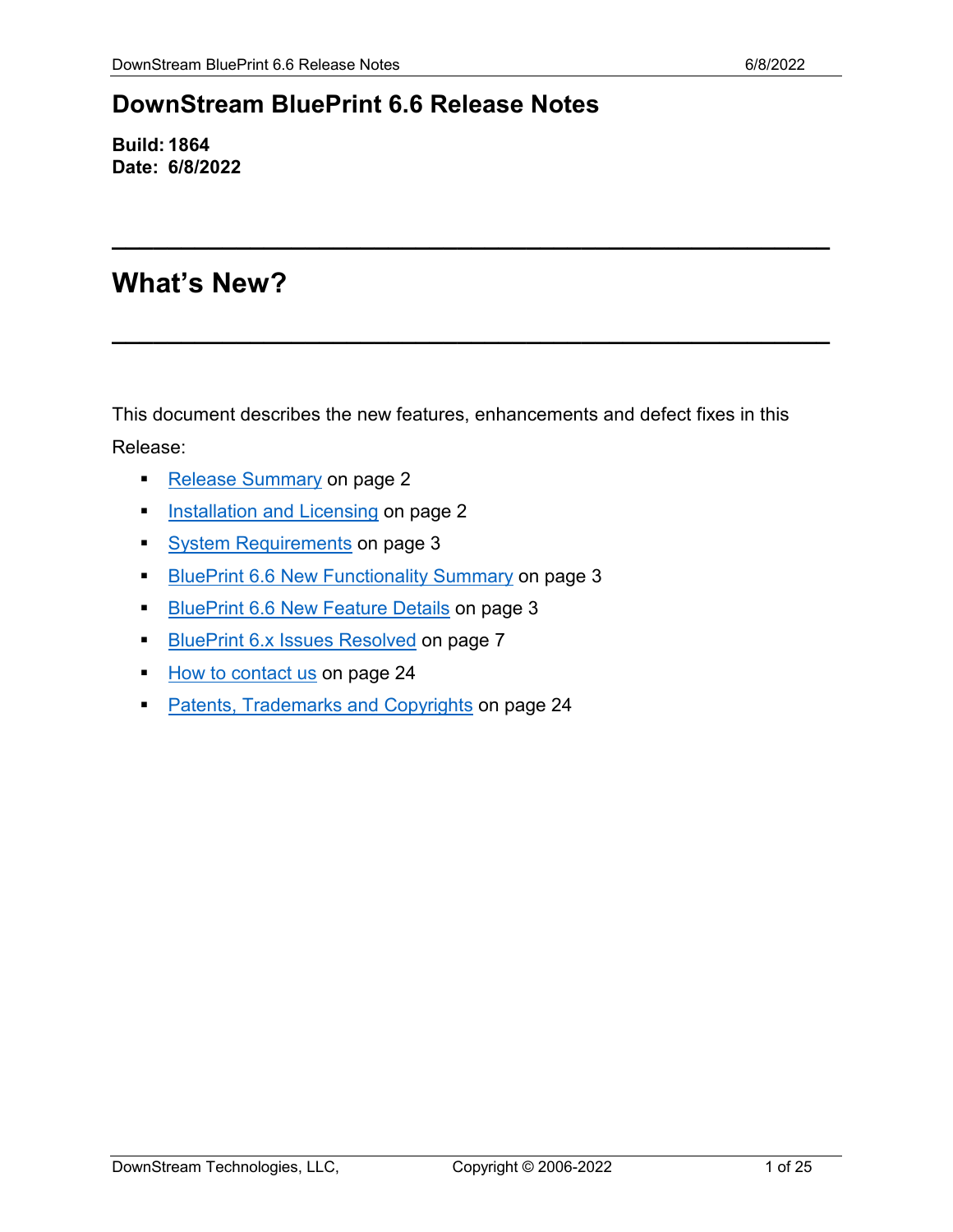## **DownStream BluePrint 6.6 Release Notes**

**Build: 1864 Date: 6/8/2022**

# **What's New?**

This document describes the new features, enhancements and defect fixes in this Release:

**\_\_\_\_\_\_\_\_\_\_\_\_\_\_\_\_\_\_\_\_\_\_\_\_\_\_\_\_\_\_\_\_\_\_\_\_\_\_\_\_\_\_\_\_\_\_\_\_\_\_\_\_**

**\_\_\_\_\_\_\_\_\_\_\_\_\_\_\_\_\_\_\_\_\_\_\_\_\_\_\_\_\_\_\_\_\_\_\_\_\_\_\_\_\_\_\_\_\_\_\_\_\_\_\_\_**

- [Release Summary](#page-1-0) on page 2
- **[Installation and Licensing](#page-1-1) on page 2**
- [System Requirements](#page-1-2) on page 3
- BluePrint 6.6 [New Functionality Summary](#page-2-0) on page 3
- **BluePrint 6.6 [New Feature Details](#page-2-1) on page 3**
- **BluePrint 6.x [Issues Resolved](#page-6-0) on page 7**
- [How to contact us](#page-24-0) on page 24
- **[Patents, Trademarks and Copyrights](#page-24-1) on page 24**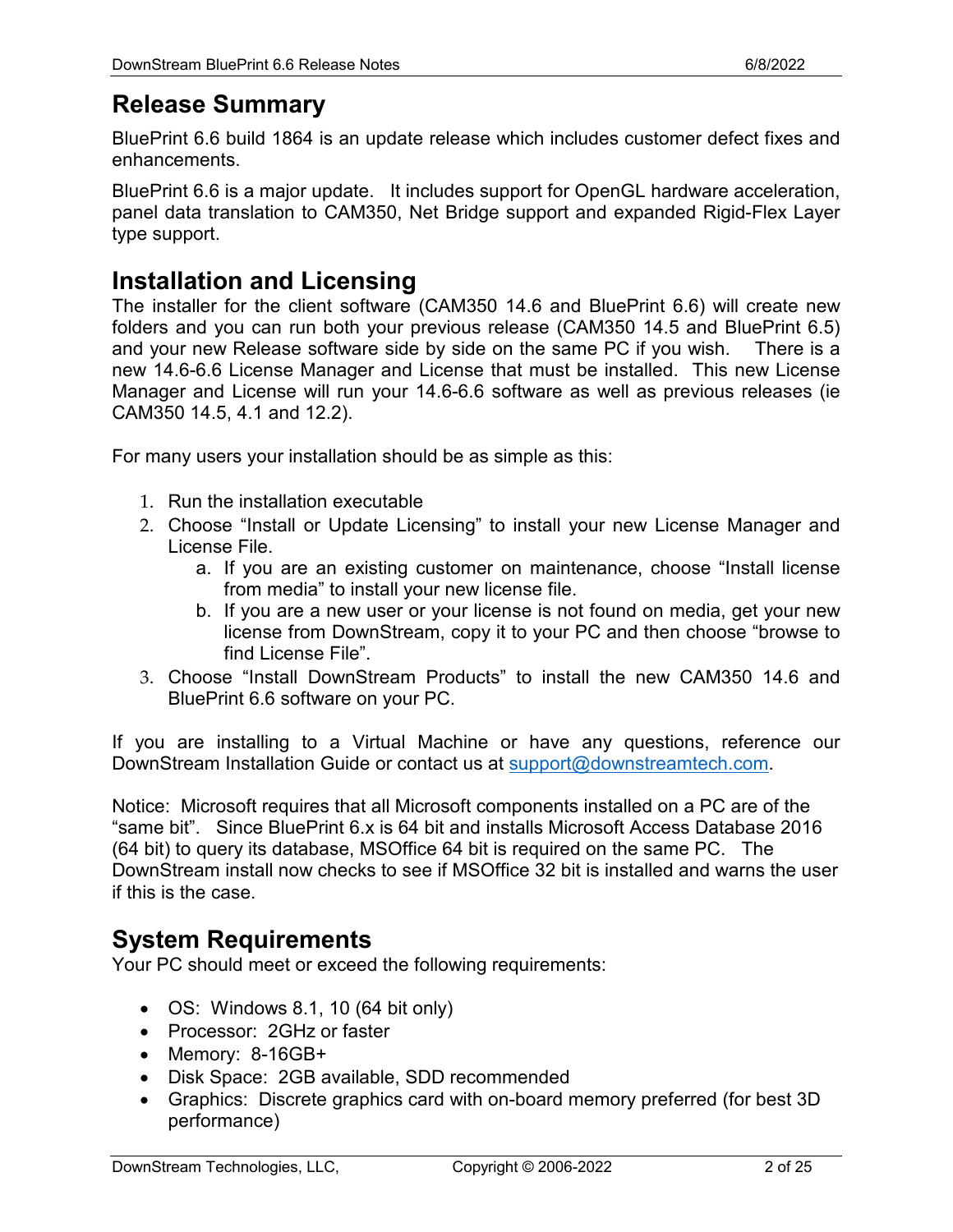# <span id="page-1-0"></span>**Release Summary**

BluePrint 6.6 build 1864 is an update release which includes customer defect fixes and enhancements.

BluePrint 6.6 is a major update. It includes support for OpenGL hardware acceleration, panel data translation to CAM350, Net Bridge support and expanded Rigid-Flex Layer type support.

## <span id="page-1-1"></span>**Installation and Licensing**

The installer for the client software (CAM350 14.6 and BluePrint 6.6) will create new folders and you can run both your previous release (CAM350 14.5 and BluePrint 6.5) and your new Release software side by side on the same PC if you wish. There is a new 14.6-6.6 License Manager and License that must be installed. This new License Manager and License will run your 14.6-6.6 software as well as previous releases (ie CAM350 14.5, 4.1 and 12.2).

For many users your installation should be as simple as this:

- 1. Run the installation executable
- 2. Choose "Install or Update Licensing" to install your new License Manager and License File.
	- a. If you are an existing customer on maintenance, choose "Install license from media" to install your new license file.
	- b. If you are a new user or your license is not found on media, get your new license from DownStream, copy it to your PC and then choose "browse to find License File".
- 3. Choose "Install DownStream Products" to install the new CAM350 14.6 and BluePrint 6.6 software on your PC.

If you are installing to a Virtual Machine or have any questions, reference our DownStream Installation Guide or contact us at [support@downstreamtech.com.](mailto:support@downstreamtech.com)

Notice: Microsoft requires that all Microsoft components installed on a PC are of the "same bit". Since BluePrint 6.x is 64 bit and installs Microsoft Access Database 2016 (64 bit) to query its database, MSOffice 64 bit is required on the same PC. The DownStream install now checks to see if MSOffice 32 bit is installed and warns the user if this is the case.

# <span id="page-1-2"></span>**System Requirements**

Your PC should meet or exceed the following requirements:

- OS: Windows 8.1, 10 (64 bit only)
- Processor: 2GHz or faster
- Memory: 8-16GB+
- Disk Space: 2GB available, SDD recommended
- Graphics: Discrete graphics card with on-board memory preferred (for best 3D performance)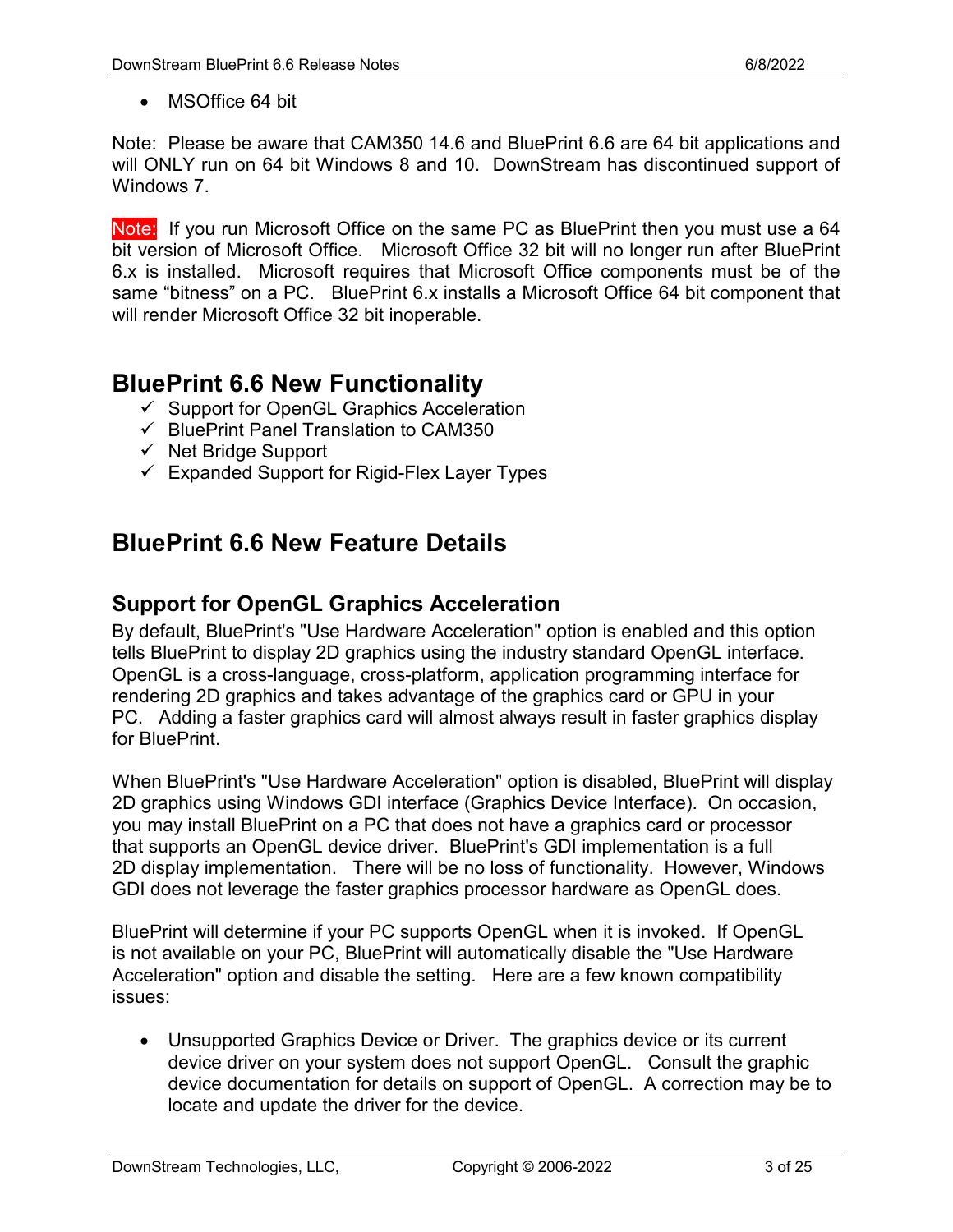• MSOffice 64 bit

Note: Please be aware that CAM350 14.6 and BluePrint 6.6 are 64 bit applications and will ONLY run on 64 bit Windows 8 and 10. DownStream has discontinued support of Windows 7.

Note: If you run Microsoft Office on the same PC as BluePrint then you must use a 64 bit version of Microsoft Office. Microsoft Office 32 bit will no longer run after BluePrint 6.x is installed. Microsoft requires that Microsoft Office components must be of the same "bitness" on a PC. BluePrint 6.x installs a Microsoft Office 64 bit component that will render Microsoft Office 32 bit inoperable.

## <span id="page-2-0"></span>**BluePrint 6.6 New Functionality**

- $\checkmark$  Support for OpenGL Graphics Acceleration
- $\checkmark$  BluePrint Panel Translation to CAM350
- $\checkmark$  Net Bridge Support
- $\checkmark$  Expanded Support for Rigid-Flex Layer Types

## <span id="page-2-1"></span>**BluePrint 6.6 New Feature Details**

#### **Support for OpenGL Graphics Acceleration**

By default, BluePrint's "Use Hardware Acceleration" option is enabled and this option tells BluePrint to display 2D graphics using the industry standard OpenGL interface. OpenGL is a cross-language, cross-platform, application programming interface for rendering 2D graphics and takes advantage of the graphics card or GPU in your PC. Adding a faster graphics card will almost always result in faster graphics display for BluePrint.

When BluePrint's "Use Hardware Acceleration" option is disabled, BluePrint will display 2D graphics using Windows GDI interface (Graphics Device Interface). On occasion, you may install BluePrint on a PC that does not have a graphics card or processor that supports an OpenGL device driver. BluePrint's GDI implementation is a full 2D display implementation. There will be no loss of functionality. However, Windows GDI does not leverage the faster graphics processor hardware as OpenGL does.

BluePrint will determine if your PC supports OpenGL when it is invoked. If OpenGL is not available on your PC, BluePrint will automatically disable the "Use Hardware Acceleration" option and disable the setting. Here are a few known compatibility issues:

• Unsupported Graphics Device or Driver. The graphics device or its current device driver on your system does not support OpenGL. Consult the graphic device documentation for details on support of OpenGL. A correction may be to locate and update the driver for the device.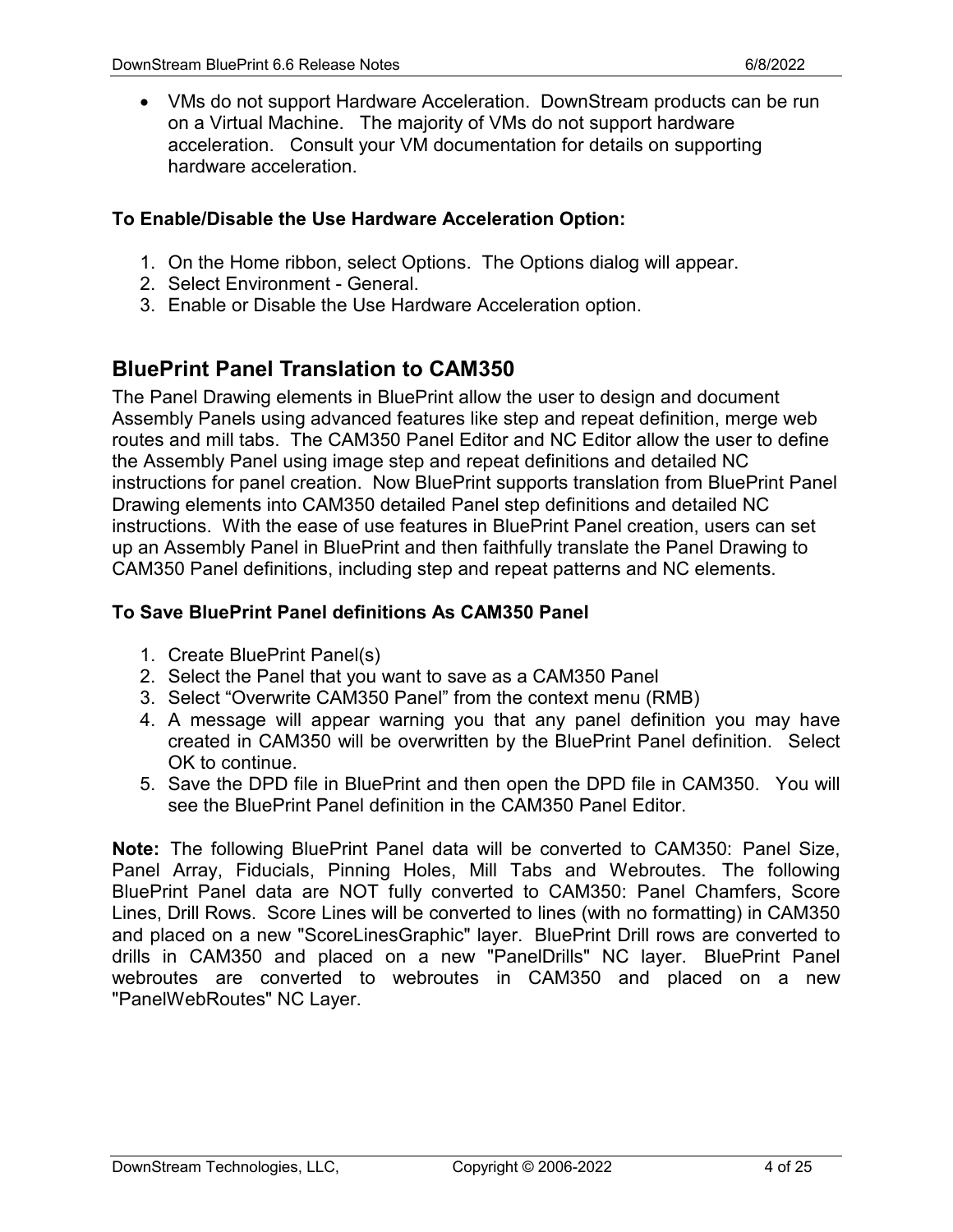• VMs do not support Hardware Acceleration. DownStream products can be run on a Virtual Machine. The majority of VMs do not support hardware acceleration. Consult your VM documentation for details on supporting hardware acceleration.

#### **To Enable/Disable the Use Hardware Acceleration Option:**

- 1. On the Home ribbon, select Options. The Options dialog will appear.
- 2. Select Environment General.
- 3. Enable or Disable the Use Hardware Acceleration option.

### **BluePrint Panel Translation to CAM350**

The Panel Drawing elements in BluePrint allow the user to design and document Assembly Panels using advanced features like step and repeat definition, merge web routes and mill tabs. The CAM350 Panel Editor and NC Editor allow the user to define the Assembly Panel using image step and repeat definitions and detailed NC instructions for panel creation. Now BluePrint supports translation from BluePrint Panel Drawing elements into CAM350 detailed Panel step definitions and detailed NC instructions. With the ease of use features in BluePrint Panel creation, users can set up an Assembly Panel in BluePrint and then faithfully translate the Panel Drawing to CAM350 Panel definitions, including step and repeat patterns and NC elements.

#### **To Save BluePrint Panel definitions As CAM350 Panel**

- 1. Create BluePrint Panel(s)
- 2. Select the Panel that you want to save as a CAM350 Panel
- 3. Select "Overwrite CAM350 Panel" from the context menu (RMB)
- 4. A message will appear warning you that any panel definition you may have created in CAM350 will be overwritten by the BluePrint Panel definition. Select OK to continue.
- 5. Save the DPD file in BluePrint and then open the DPD file in CAM350. You will see the BluePrint Panel definition in the CAM350 Panel Editor.

**Note:** The following BluePrint Panel data will be converted to CAM350: Panel Size, Panel Array, Fiducials, Pinning Holes, Mill Tabs and Webroutes. The following BluePrint Panel data are NOT fully converted to CAM350: Panel Chamfers, Score Lines, Drill Rows. Score Lines will be converted to lines (with no formatting) in CAM350 and placed on a new "ScoreLinesGraphic" layer. BluePrint Drill rows are converted to drills in CAM350 and placed on a new "PanelDrills" NC layer. BluePrint Panel webroutes are converted to webroutes in CAM350 and placed on a new "PanelWebRoutes" NC Layer.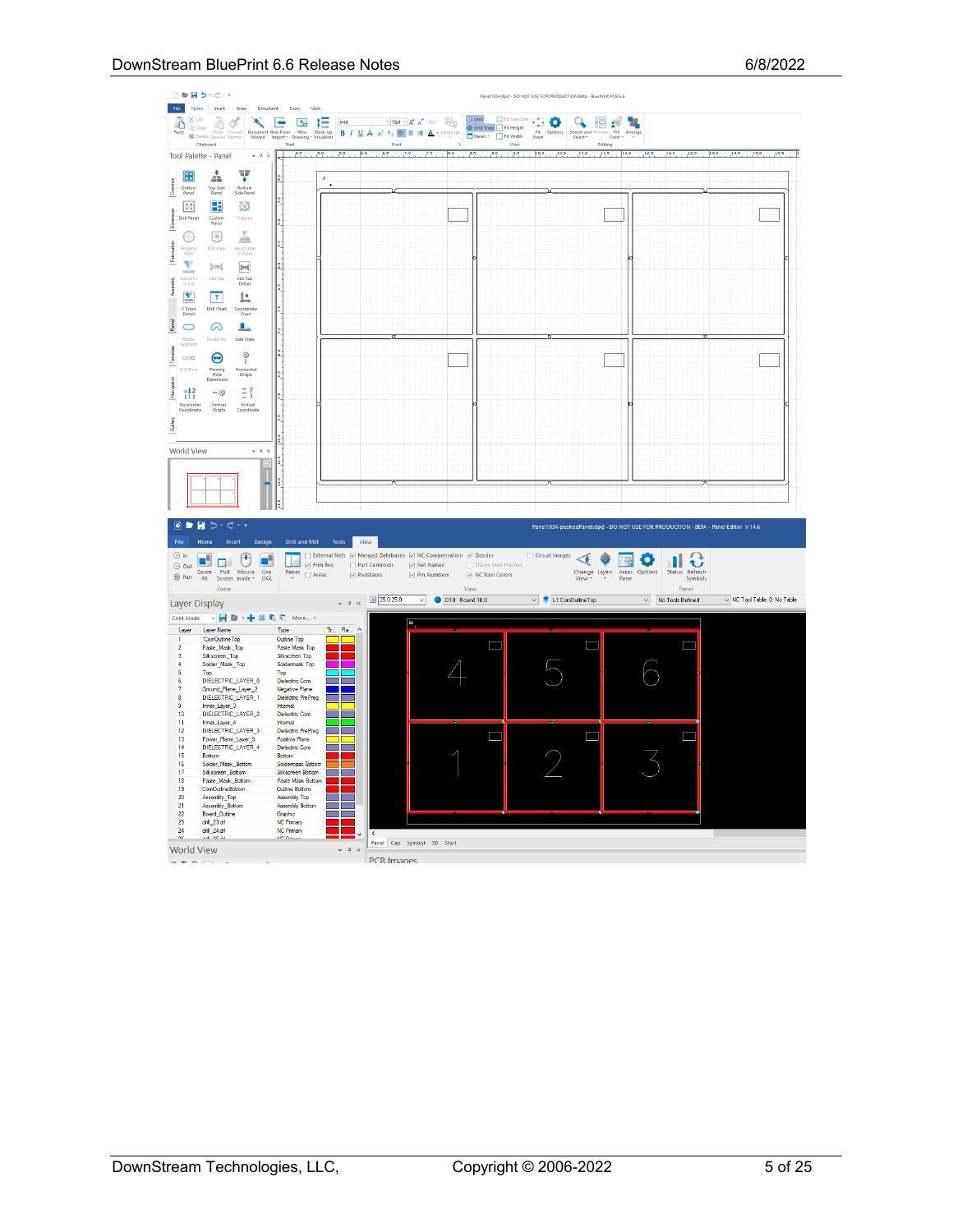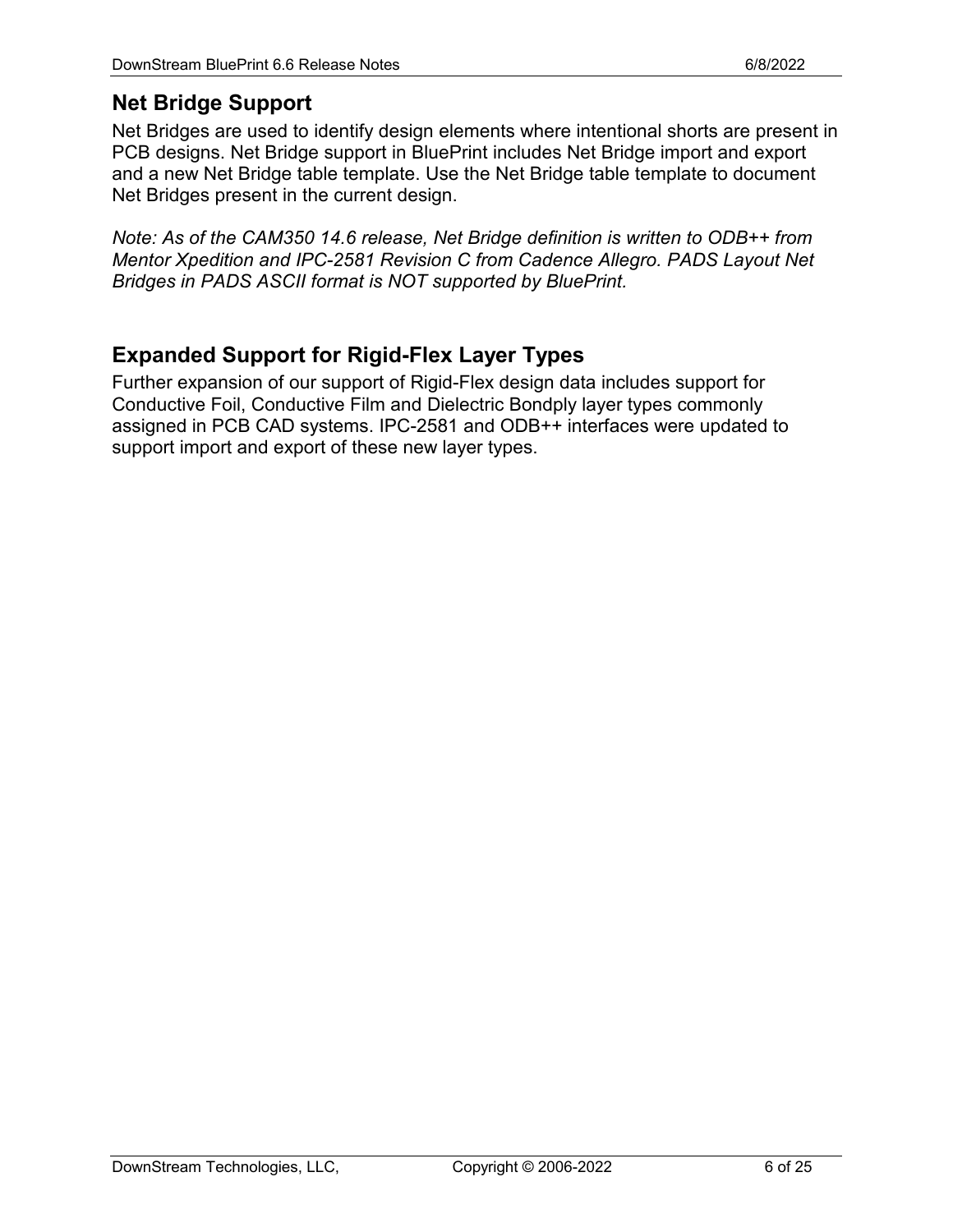## **Net Bridge Support**

Net Bridges are used to identify design elements where intentional shorts are present in PCB designs. Net Bridge support in BluePrint includes Net Bridge import and export and a new Net Bridge table template. Use the Net Bridge table template to document Net Bridges present in the current design.

*Note: As of the CAM350 14.6 release, Net Bridge definition is written to ODB++ from Mentor Xpedition and IPC-2581 Revision C from Cadence Allegro. PADS Layout Net Bridges in PADS ASCII format is NOT supported by BluePrint.*

## **Expanded Support for Rigid-Flex Layer Types**

Further expansion of our support of Rigid-Flex design data includes support for Conductive Foil, Conductive Film and Dielectric Bondply layer types commonly assigned in PCB CAD systems. IPC-2581 and ODB++ interfaces were updated to support import and export of these new layer types.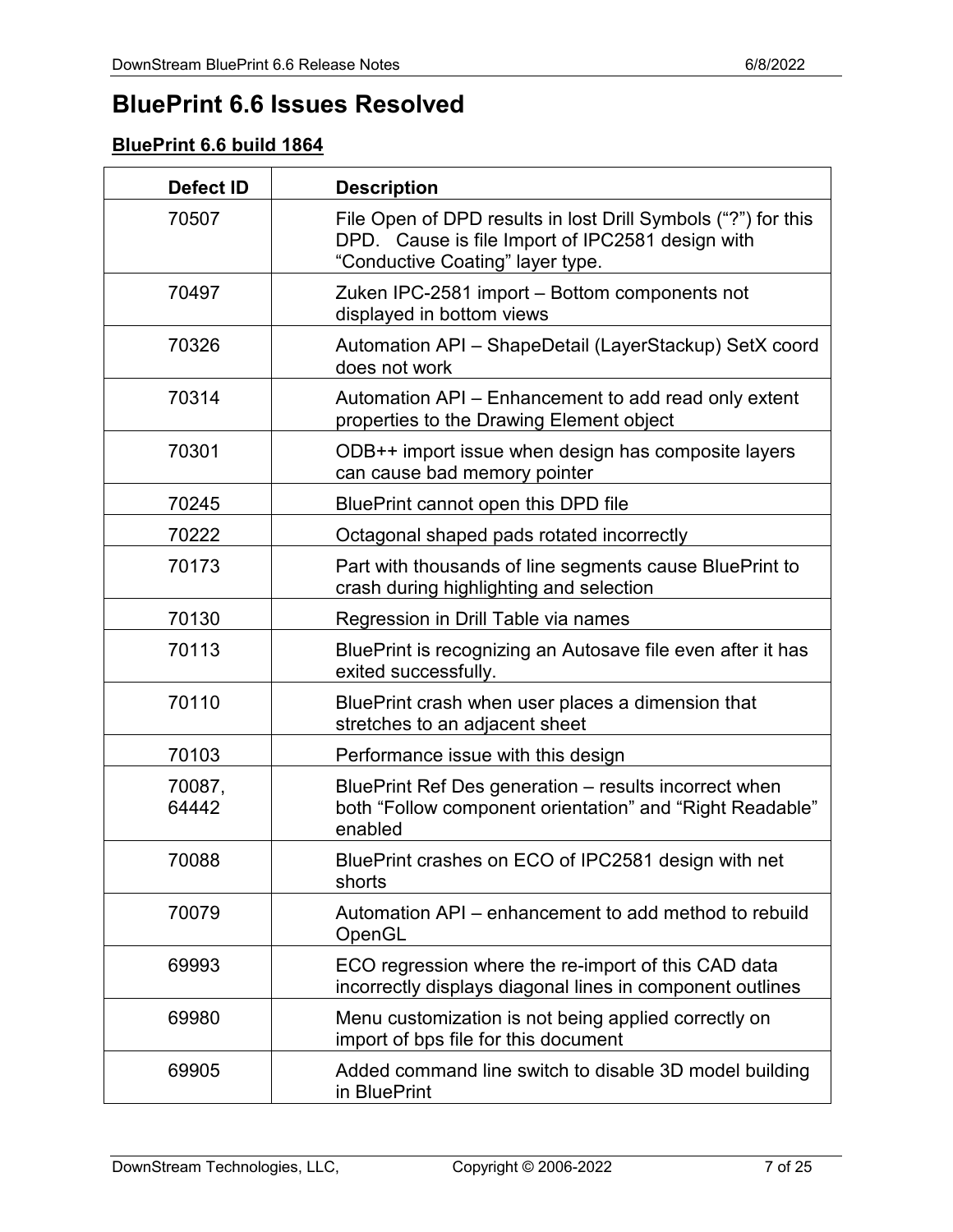# <span id="page-6-0"></span>**BluePrint 6.6 Issues Resolved**

| <b>Defect ID</b> | <b>Description</b>                                                                                                                                    |
|------------------|-------------------------------------------------------------------------------------------------------------------------------------------------------|
| 70507            | File Open of DPD results in lost Drill Symbols ("?") for this<br>DPD. Cause is file Import of IPC2581 design with<br>"Conductive Coating" layer type. |
| 70497            | Zuken IPC-2581 import – Bottom components not<br>displayed in bottom views                                                                            |
| 70326            | Automation API - ShapeDetail (LayerStackup) SetX coord<br>does not work                                                                               |
| 70314            | Automation API - Enhancement to add read only extent<br>properties to the Drawing Element object                                                      |
| 70301            | ODB++ import issue when design has composite layers<br>can cause bad memory pointer                                                                   |
| 70245            | BluePrint cannot open this DPD file                                                                                                                   |
| 70222            | Octagonal shaped pads rotated incorrectly                                                                                                             |
| 70173            | Part with thousands of line segments cause BluePrint to<br>crash during highlighting and selection                                                    |
| 70130            | Regression in Drill Table via names                                                                                                                   |
| 70113            | BluePrint is recognizing an Autosave file even after it has<br>exited successfully.                                                                   |
| 70110            | BluePrint crash when user places a dimension that<br>stretches to an adjacent sheet                                                                   |
| 70103            | Performance issue with this design                                                                                                                    |
| 70087,<br>64442  | BluePrint Ref Des generation - results incorrect when<br>both "Follow component orientation" and "Right Readable"<br>enabled                          |
| 70088            | BluePrint crashes on ECO of IPC2581 design with net<br>shorts                                                                                         |
| 70079            | Automation API – enhancement to add method to rebuild<br>OpenGL                                                                                       |
| 69993            | ECO regression where the re-import of this CAD data<br>incorrectly displays diagonal lines in component outlines                                      |
| 69980            | Menu customization is not being applied correctly on<br>import of bps file for this document                                                          |
| 69905            | Added command line switch to disable 3D model building<br>in BluePrint                                                                                |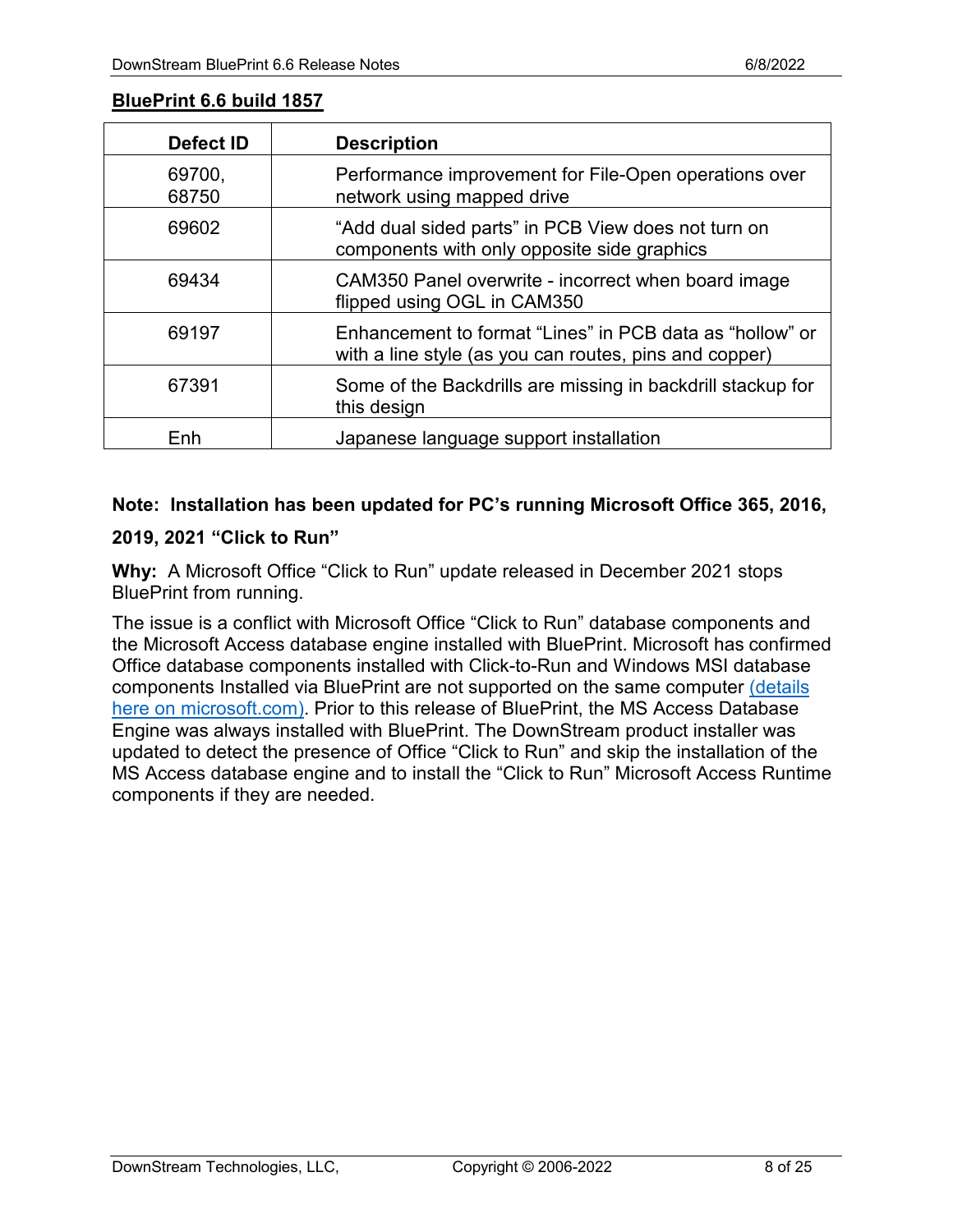| Defect ID       | <b>Description</b>                                                                                                 |
|-----------------|--------------------------------------------------------------------------------------------------------------------|
| 69700,<br>68750 | Performance improvement for File-Open operations over<br>network using mapped drive                                |
| 69602           | "Add dual sided parts" in PCB View does not turn on<br>components with only opposite side graphics                 |
| 69434           | CAM350 Panel overwrite - incorrect when board image<br>flipped using OGL in CAM350                                 |
| 69197           | Enhancement to format "Lines" in PCB data as "hollow" or<br>with a line style (as you can routes, pins and copper) |
| 67391           | Some of the Backdrills are missing in backdrill stackup for<br>this design                                         |
| Enh             | Japanese language support installation                                                                             |

#### **Note: Installation has been updated for PC's running Microsoft Office 365, 2016,**

#### **2019, 2021 "Click to Run"**

**Why:** A Microsoft Office "Click to Run" update released in December 2021 stops BluePrint from running.

The issue is a conflict with Microsoft Office "Click to Run" database components and the Microsoft Access database engine installed with BluePrint. Microsoft has confirmed Office database components installed with Click-to-Run and Windows MSI database components Installed via BluePrint are not supported on the same computer [\(details](https://support.microsoft.com/en-us/office/office-installed-with-click-to-run-and-windows-installer-on-same-computer-isn-t-supported-30775ef4-fa77-4f47-98fb-c5826a6926cd)  [here on microsoft.com\).](https://support.microsoft.com/en-us/office/office-installed-with-click-to-run-and-windows-installer-on-same-computer-isn-t-supported-30775ef4-fa77-4f47-98fb-c5826a6926cd) Prior to this release of BluePrint, the MS Access Database Engine was always installed with BluePrint. The DownStream product installer was updated to detect the presence of Office "Click to Run" and skip the installation of the MS Access database engine and to install the "Click to Run" Microsoft Access Runtime components if they are needed.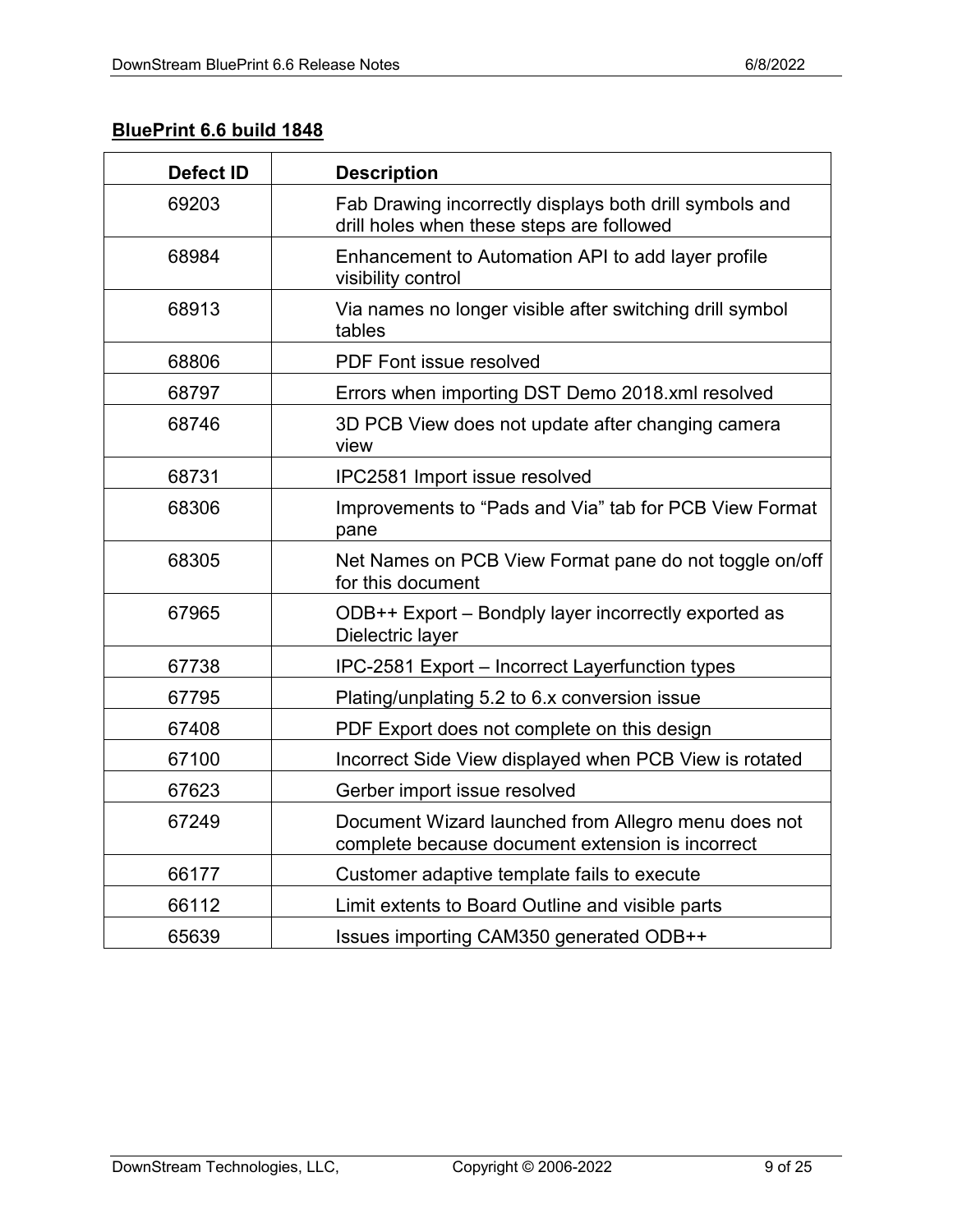| <b>Defect ID</b> | <b>Description</b>                                                                                      |
|------------------|---------------------------------------------------------------------------------------------------------|
| 69203            | Fab Drawing incorrectly displays both drill symbols and<br>drill holes when these steps are followed    |
| 68984            | Enhancement to Automation API to add layer profile<br>visibility control                                |
| 68913            | Via names no longer visible after switching drill symbol<br>tables                                      |
| 68806            | <b>PDF Font issue resolved</b>                                                                          |
| 68797            | Errors when importing DST Demo 2018.xml resolved                                                        |
| 68746            | 3D PCB View does not update after changing camera<br>view                                               |
| 68731            | IPC2581 Import issue resolved                                                                           |
| 68306            | Improvements to "Pads and Via" tab for PCB View Format<br>pane                                          |
| 68305            | Net Names on PCB View Format pane do not toggle on/off<br>for this document                             |
| 67965            | ODB++ Export - Bondply layer incorrectly exported as<br>Dielectric layer                                |
| 67738            | IPC-2581 Export – Incorrect Layerfunction types                                                         |
| 67795            | Plating/unplating 5.2 to 6.x conversion issue                                                           |
| 67408            | PDF Export does not complete on this design                                                             |
| 67100            | Incorrect Side View displayed when PCB View is rotated                                                  |
| 67623            | Gerber import issue resolved                                                                            |
| 67249            | Document Wizard launched from Allegro menu does not<br>complete because document extension is incorrect |
| 66177            | Customer adaptive template fails to execute                                                             |
| 66112            | Limit extents to Board Outline and visible parts                                                        |
| 65639            | Issues importing CAM350 generated ODB++                                                                 |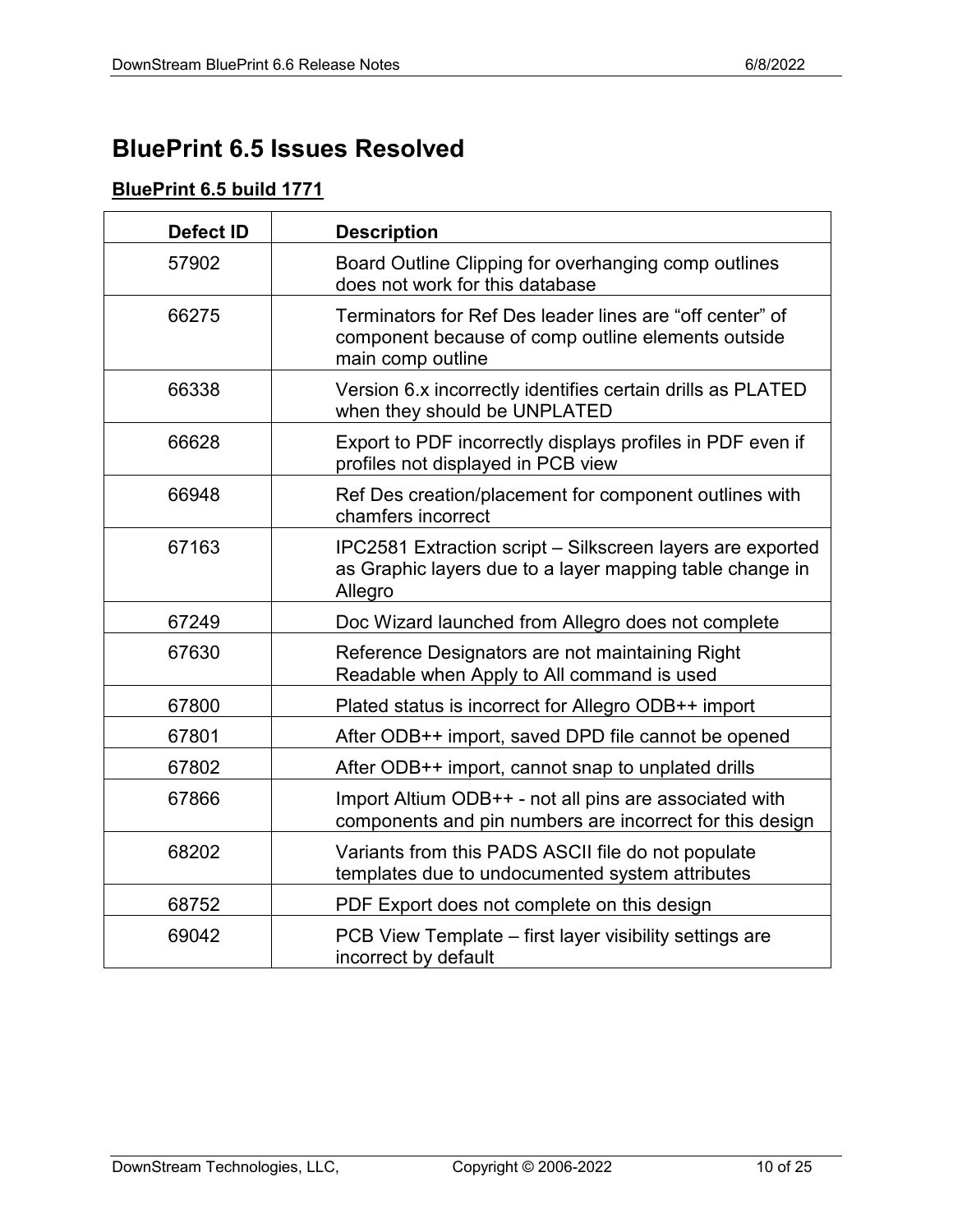# **BluePrint 6.5 Issues Resolved**

| Defect ID | <b>Description</b>                                                                                                                  |
|-----------|-------------------------------------------------------------------------------------------------------------------------------------|
| 57902     | Board Outline Clipping for overhanging comp outlines<br>does not work for this database                                             |
| 66275     | Terminators for Ref Des leader lines are "off center" of<br>component because of comp outline elements outside<br>main comp outline |
| 66338     | Version 6.x incorrectly identifies certain drills as PLATED<br>when they should be UNPLATED                                         |
| 66628     | Export to PDF incorrectly displays profiles in PDF even if<br>profiles not displayed in PCB view                                    |
| 66948     | Ref Des creation/placement for component outlines with<br>chamfers incorrect                                                        |
| 67163     | IPC2581 Extraction script - Silkscreen layers are exported<br>as Graphic layers due to a layer mapping table change in<br>Allegro   |
| 67249     | Doc Wizard launched from Allegro does not complete                                                                                  |
| 67630     | Reference Designators are not maintaining Right<br>Readable when Apply to All command is used                                       |
| 67800     | Plated status is incorrect for Allegro ODB++ import                                                                                 |
| 67801     | After ODB++ import, saved DPD file cannot be opened                                                                                 |
| 67802     | After ODB++ import, cannot snap to unplated drills                                                                                  |
| 67866     | Import Altium ODB++ - not all pins are associated with<br>components and pin numbers are incorrect for this design                  |
| 68202     | Variants from this PADS ASCII file do not populate<br>templates due to undocumented system attributes                               |
| 68752     | PDF Export does not complete on this design                                                                                         |
| 69042     | PCB View Template – first layer visibility settings are<br>incorrect by default                                                     |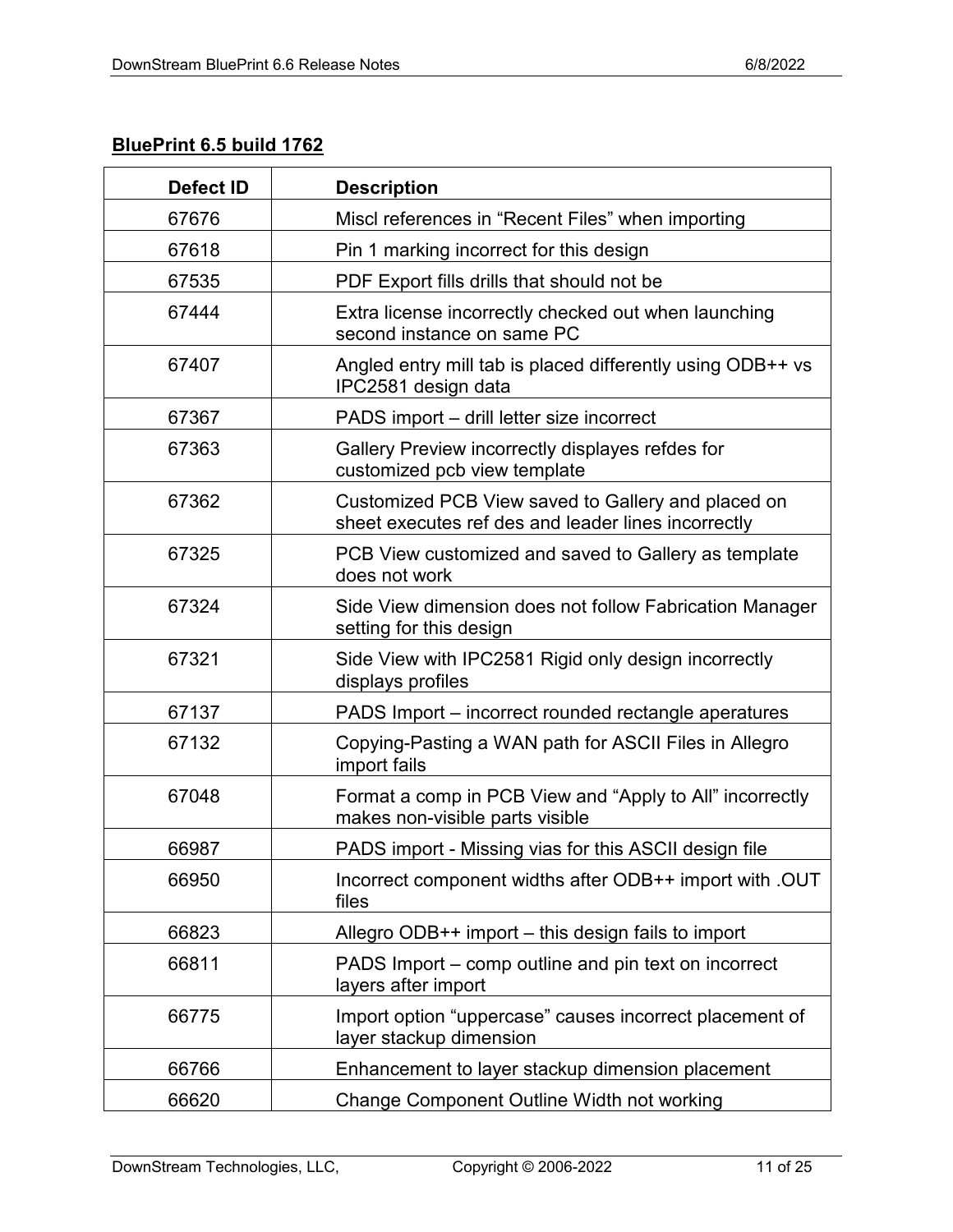| <b>Defect ID</b> | <b>Description</b>                                                                                        |
|------------------|-----------------------------------------------------------------------------------------------------------|
| 67676            | Miscl references in "Recent Files" when importing                                                         |
| 67618            | Pin 1 marking incorrect for this design                                                                   |
| 67535            | PDF Export fills drills that should not be                                                                |
| 67444            | Extra license incorrectly checked out when launching<br>second instance on same PC                        |
| 67407            | Angled entry mill tab is placed differently using ODB++ vs<br>IPC2581 design data                         |
| 67367            | PADS import - drill letter size incorrect                                                                 |
| 67363            | Gallery Preview incorrectly displayes refdes for<br>customized pcb view template                          |
| 67362            | Customized PCB View saved to Gallery and placed on<br>sheet executes ref des and leader lines incorrectly |
| 67325            | PCB View customized and saved to Gallery as template<br>does not work                                     |
| 67324            | Side View dimension does not follow Fabrication Manager<br>setting for this design                        |
| 67321            | Side View with IPC2581 Rigid only design incorrectly<br>displays profiles                                 |
| 67137            | PADS Import - incorrect rounded rectangle aperatures                                                      |
| 67132            | Copying-Pasting a WAN path for ASCII Files in Allegro<br>import fails                                     |
| 67048            | Format a comp in PCB View and "Apply to All" incorrectly<br>makes non-visible parts visible               |
| 66987            | PADS import - Missing vias for this ASCII design file                                                     |
| 66950            | Incorrect component widths after ODB++ import with .OUT<br>files                                          |
| 66823            | Allegro ODB++ import – this design fails to import                                                        |
| 66811            | PADS Import – comp outline and pin text on incorrect<br>layers after import                               |
| 66775            | Import option "uppercase" causes incorrect placement of<br>layer stackup dimension                        |
| 66766            | Enhancement to layer stackup dimension placement                                                          |
| 66620            | Change Component Outline Width not working                                                                |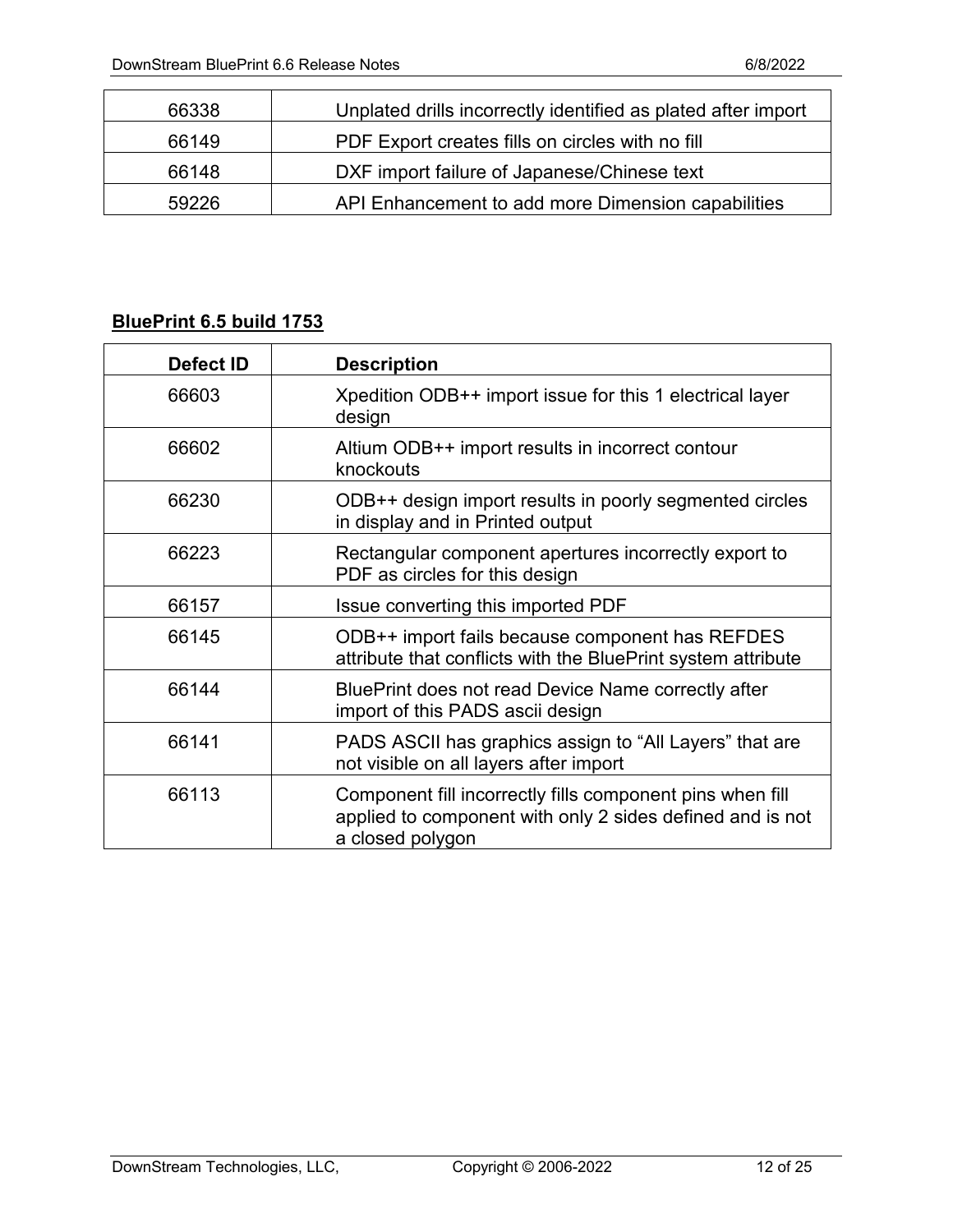| 66338 | Unplated drills incorrectly identified as plated after import |
|-------|---------------------------------------------------------------|
| 66149 | PDF Export creates fills on circles with no fill              |
| 66148 | DXF import failure of Japanese/Chinese text                   |
| 59226 | API Enhancement to add more Dimension capabilities            |

| Defect ID | <b>Description</b>                                                                                                                         |
|-----------|--------------------------------------------------------------------------------------------------------------------------------------------|
| 66603     | Xpedition ODB++ import issue for this 1 electrical layer<br>design                                                                         |
| 66602     | Altium ODB++ import results in incorrect contour<br>knockouts                                                                              |
| 66230     | ODB++ design import results in poorly segmented circles<br>in display and in Printed output                                                |
| 66223     | Rectangular component apertures incorrectly export to<br>PDF as circles for this design                                                    |
| 66157     | Issue converting this imported PDF                                                                                                         |
| 66145     | ODB++ import fails because component has REFDES<br>attribute that conflicts with the BluePrint system attribute                            |
| 66144     | BluePrint does not read Device Name correctly after<br>import of this PADS ascii design                                                    |
| 66141     | PADS ASCII has graphics assign to "All Layers" that are<br>not visible on all layers after import                                          |
| 66113     | Component fill incorrectly fills component pins when fill<br>applied to component with only 2 sides defined and is not<br>a closed polygon |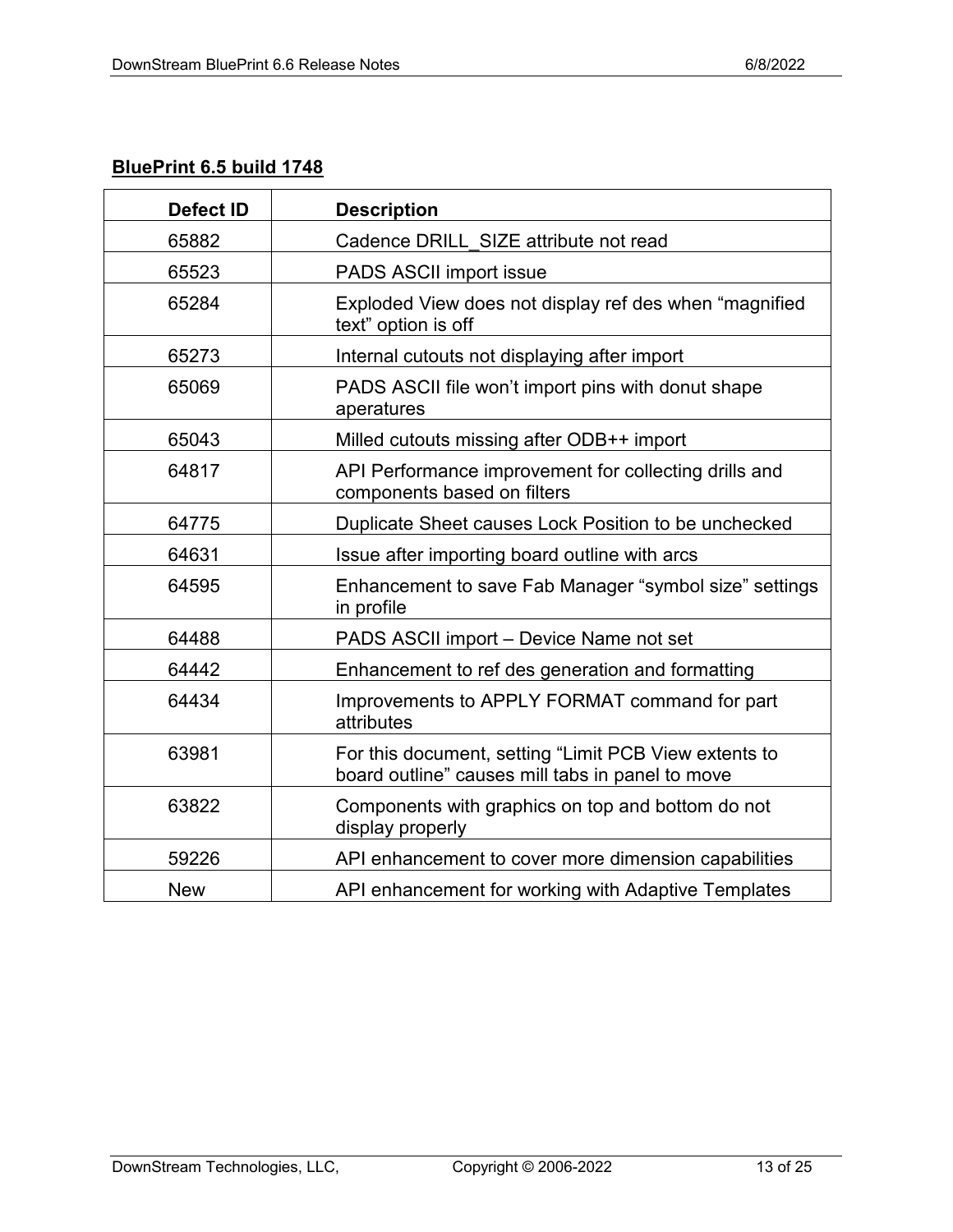| <b>Defect ID</b> | <b>Description</b>                                                                                        |
|------------------|-----------------------------------------------------------------------------------------------------------|
| 65882            | Cadence DRILL SIZE attribute not read                                                                     |
| 65523            | PADS ASCII import issue                                                                                   |
| 65284            | Exploded View does not display ref des when "magnified<br>text" option is off                             |
| 65273            | Internal cutouts not displaying after import                                                              |
| 65069            | PADS ASCII file won't import pins with donut shape<br>aperatures                                          |
| 65043            | Milled cutouts missing after ODB++ import                                                                 |
| 64817            | API Performance improvement for collecting drills and<br>components based on filters                      |
| 64775            | Duplicate Sheet causes Lock Position to be unchecked                                                      |
| 64631            | Issue after importing board outline with arcs                                                             |
| 64595            | Enhancement to save Fab Manager "symbol size" settings<br>in profile                                      |
| 64488            | PADS ASCII import - Device Name not set                                                                   |
| 64442            | Enhancement to ref des generation and formatting                                                          |
| 64434            | Improvements to APPLY FORMAT command for part<br>attributes                                               |
| 63981            | For this document, setting "Limit PCB View extents to<br>board outline" causes mill tabs in panel to move |
| 63822            | Components with graphics on top and bottom do not<br>display properly                                     |
| 59226            | API enhancement to cover more dimension capabilities                                                      |
| <b>New</b>       | API enhancement for working with Adaptive Templates                                                       |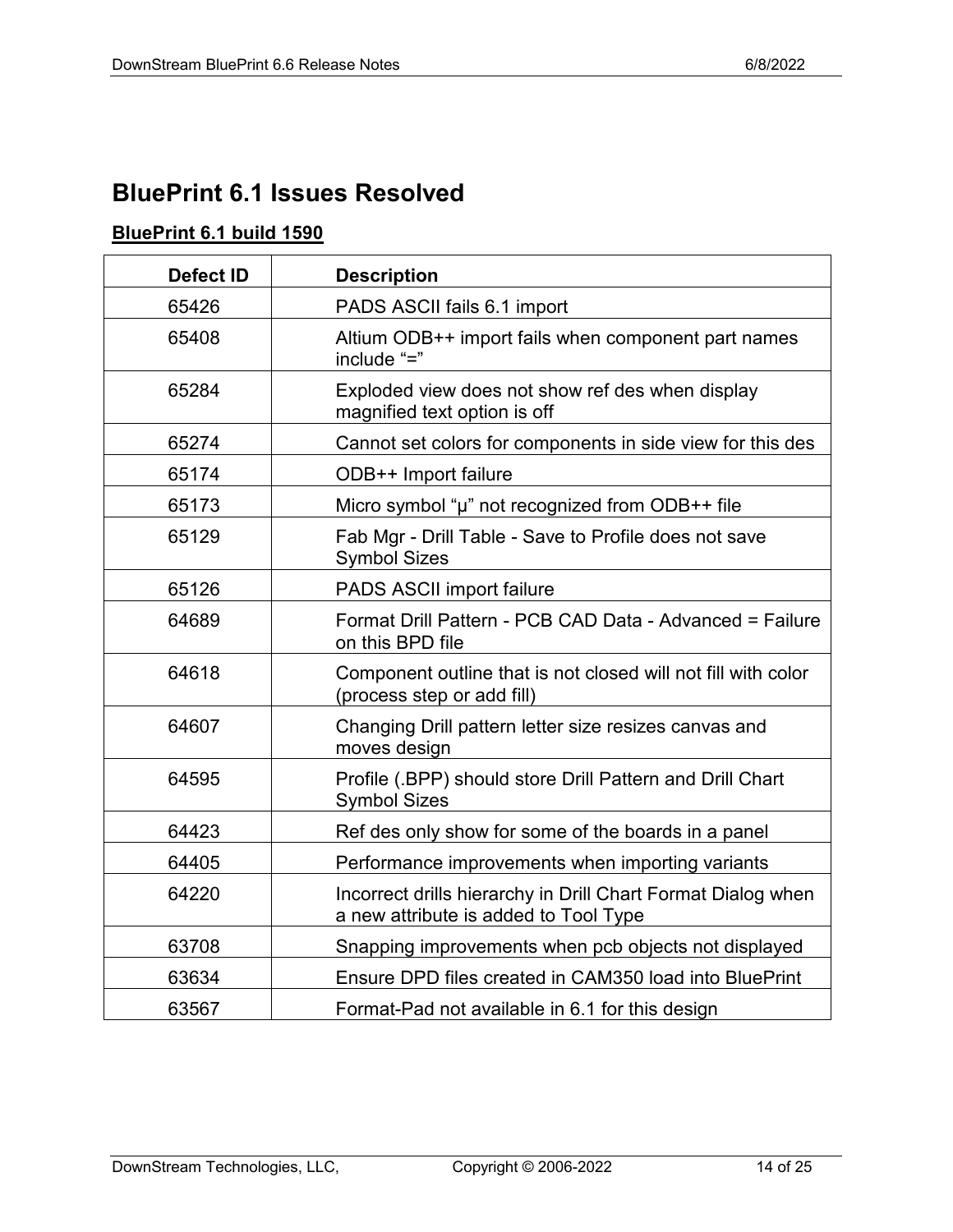# **BluePrint 6.1 Issues Resolved**

| <b>Defect ID</b> | <b>Description</b>                                                                                    |
|------------------|-------------------------------------------------------------------------------------------------------|
| 65426            | PADS ASCII fails 6.1 import                                                                           |
| 65408            | Altium ODB++ import fails when component part names<br>include "="                                    |
| 65284            | Exploded view does not show ref des when display<br>magnified text option is off                      |
| 65274            | Cannot set colors for components in side view for this des                                            |
| 65174            | ODB++ Import failure                                                                                  |
| 65173            | Micro symbol "µ" not recognized from ODB++ file                                                       |
| 65129            | Fab Mgr - Drill Table - Save to Profile does not save<br><b>Symbol Sizes</b>                          |
| 65126            | <b>PADS ASCII import failure</b>                                                                      |
| 64689            | Format Drill Pattern - PCB CAD Data - Advanced = Failure<br>on this BPD file                          |
| 64618            | Component outline that is not closed will not fill with color<br>(process step or add fill)           |
| 64607            | Changing Drill pattern letter size resizes canvas and<br>moves design                                 |
| 64595            | Profile (.BPP) should store Drill Pattern and Drill Chart<br><b>Symbol Sizes</b>                      |
| 64423            | Ref des only show for some of the boards in a panel                                                   |
| 64405            | Performance improvements when importing variants                                                      |
| 64220            | Incorrect drills hierarchy in Drill Chart Format Dialog when<br>a new attribute is added to Tool Type |
| 63708            | Snapping improvements when pcb objects not displayed                                                  |
| 63634            | Ensure DPD files created in CAM350 load into BluePrint                                                |
| 63567            | Format-Pad not available in 6.1 for this design                                                       |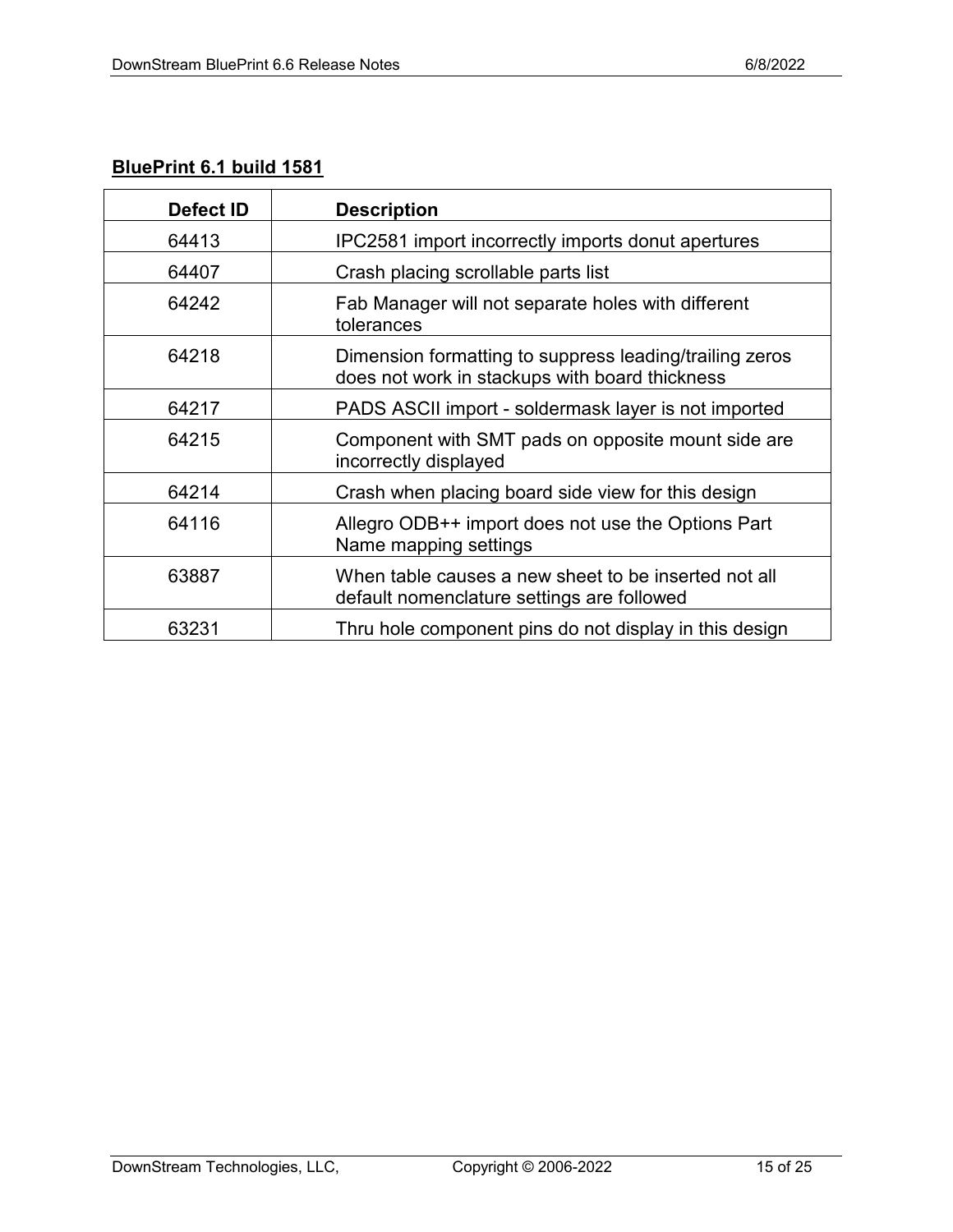| Defect ID | <b>Description</b>                                                                                        |
|-----------|-----------------------------------------------------------------------------------------------------------|
| 64413     | IPC2581 import incorrectly imports donut apertures                                                        |
| 64407     | Crash placing scrollable parts list                                                                       |
| 64242     | Fab Manager will not separate holes with different<br>tolerances                                          |
| 64218     | Dimension formatting to suppress leading/trailing zeros<br>does not work in stackups with board thickness |
| 64217     | PADS ASCII import - soldermask layer is not imported                                                      |
| 64215     | Component with SMT pads on opposite mount side are<br>incorrectly displayed                               |
| 64214     | Crash when placing board side view for this design                                                        |
| 64116     | Allegro ODB++ import does not use the Options Part<br>Name mapping settings                               |
| 63887     | When table causes a new sheet to be inserted not all<br>default nomenclature settings are followed        |
| 63231     | Thru hole component pins do not display in this design                                                    |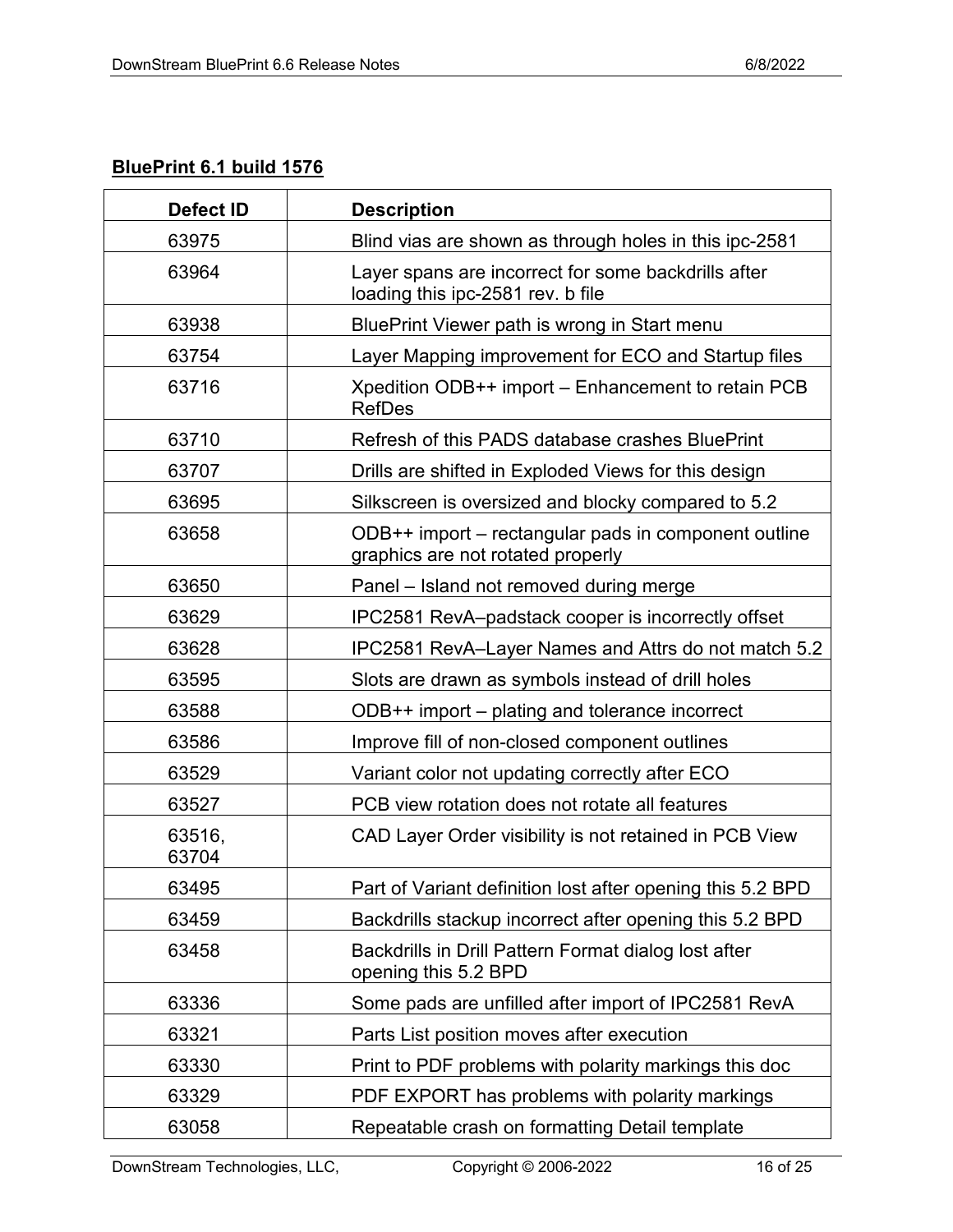| <b>Defect ID</b> | <b>Description</b>                                                                        |
|------------------|-------------------------------------------------------------------------------------------|
| 63975            | Blind vias are shown as through holes in this ipc-2581                                    |
| 63964            | Layer spans are incorrect for some backdrills after<br>loading this ipc-2581 rev. b file  |
| 63938            | BluePrint Viewer path is wrong in Start menu                                              |
| 63754            | Layer Mapping improvement for ECO and Startup files                                       |
| 63716            | Xpedition ODB++ import - Enhancement to retain PCB<br><b>RefDes</b>                       |
| 63710            | Refresh of this PADS database crashes BluePrint                                           |
| 63707            | Drills are shifted in Exploded Views for this design                                      |
| 63695            | Silkscreen is oversized and blocky compared to 5.2                                        |
| 63658            | ODB++ import – rectangular pads in component outline<br>graphics are not rotated properly |
| 63650            | Panel – Island not removed during merge                                                   |
| 63629            | IPC2581 RevA-padstack cooper is incorrectly offset                                        |
| 63628            | IPC2581 RevA-Layer Names and Attrs do not match 5.2                                       |
| 63595            | Slots are drawn as symbols instead of drill holes                                         |
| 63588            | ODB++ import - plating and tolerance incorrect                                            |
| 63586            | Improve fill of non-closed component outlines                                             |
| 63529            | Variant color not updating correctly after ECO                                            |
| 63527            | PCB view rotation does not rotate all features                                            |
| 63516,<br>63704  | CAD Layer Order visibility is not retained in PCB View                                    |
| 63495            | Part of Variant definition lost after opening this 5.2 BPD                                |
| 63459            | Backdrills stackup incorrect after opening this 5.2 BPD                                   |
| 63458            | Backdrills in Drill Pattern Format dialog lost after<br>opening this 5.2 BPD              |
| 63336            | Some pads are unfilled after import of IPC2581 RevA                                       |
| 63321            | Parts List position moves after execution                                                 |
| 63330            | Print to PDF problems with polarity markings this doc                                     |
| 63329            | PDF EXPORT has problems with polarity markings                                            |
| 63058            | Repeatable crash on formatting Detail template                                            |

DownStream Technologies, LLC, Copyright © 2006-2022 16 of 25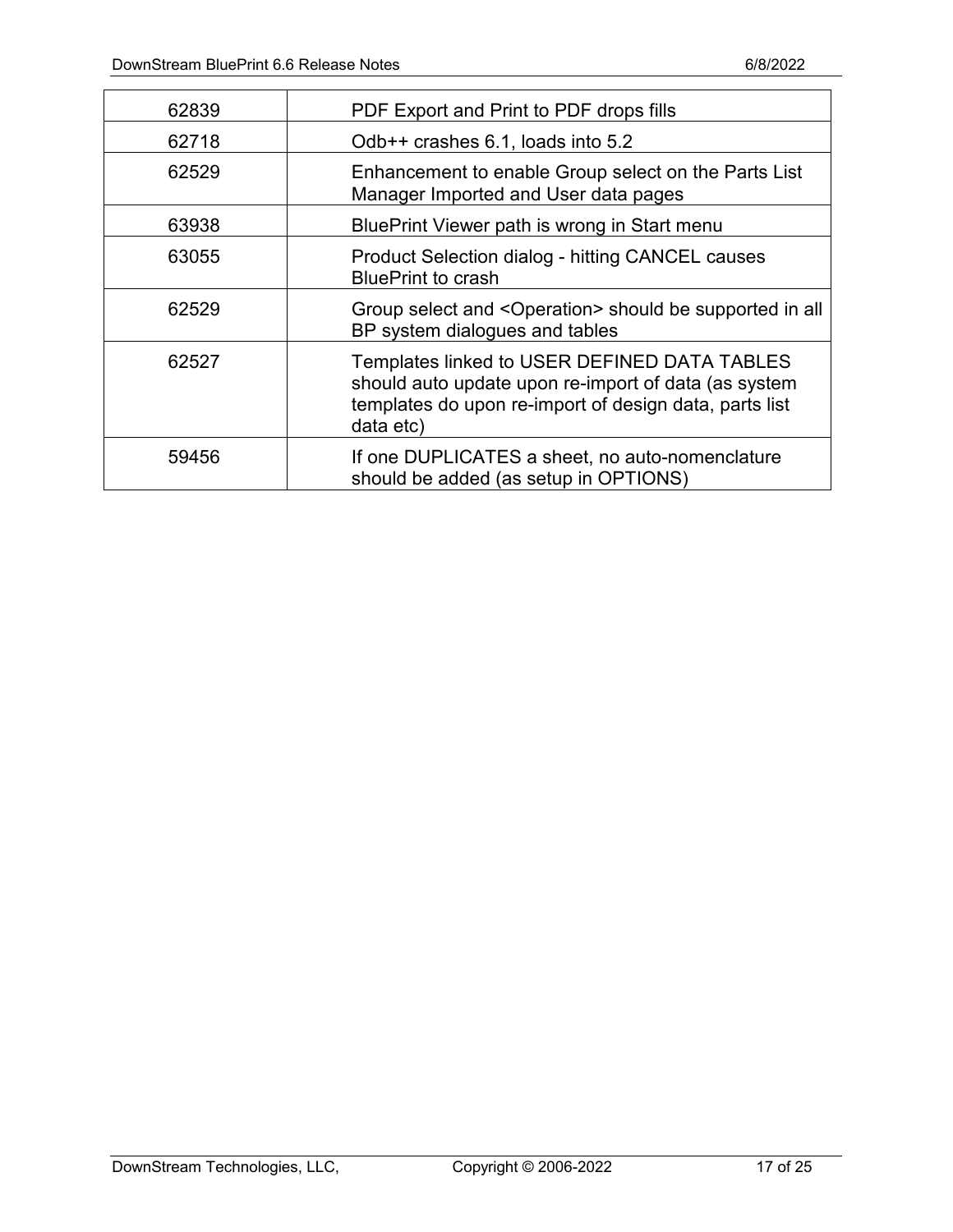| 62839 | PDF Export and Print to PDF drops fills                                                                                                                                     |
|-------|-----------------------------------------------------------------------------------------------------------------------------------------------------------------------------|
| 62718 | Odb++ crashes 6.1, loads into 5.2                                                                                                                                           |
| 62529 | Enhancement to enable Group select on the Parts List<br>Manager Imported and User data pages                                                                                |
| 63938 | BluePrint Viewer path is wrong in Start menu                                                                                                                                |
| 63055 | <b>Product Selection dialog - hitting CANCEL causes</b><br><b>BluePrint to crash</b>                                                                                        |
| 62529 | Group select and <operation> should be supported in all<br/>BP system dialogues and tables</operation>                                                                      |
| 62527 | Templates linked to USER DEFINED DATA TABLES<br>should auto update upon re-import of data (as system<br>templates do upon re-import of design data, parts list<br>data etc) |
| 59456 | If one DUPLICATES a sheet, no auto-nomenclature<br>should be added (as setup in OPTIONS)                                                                                    |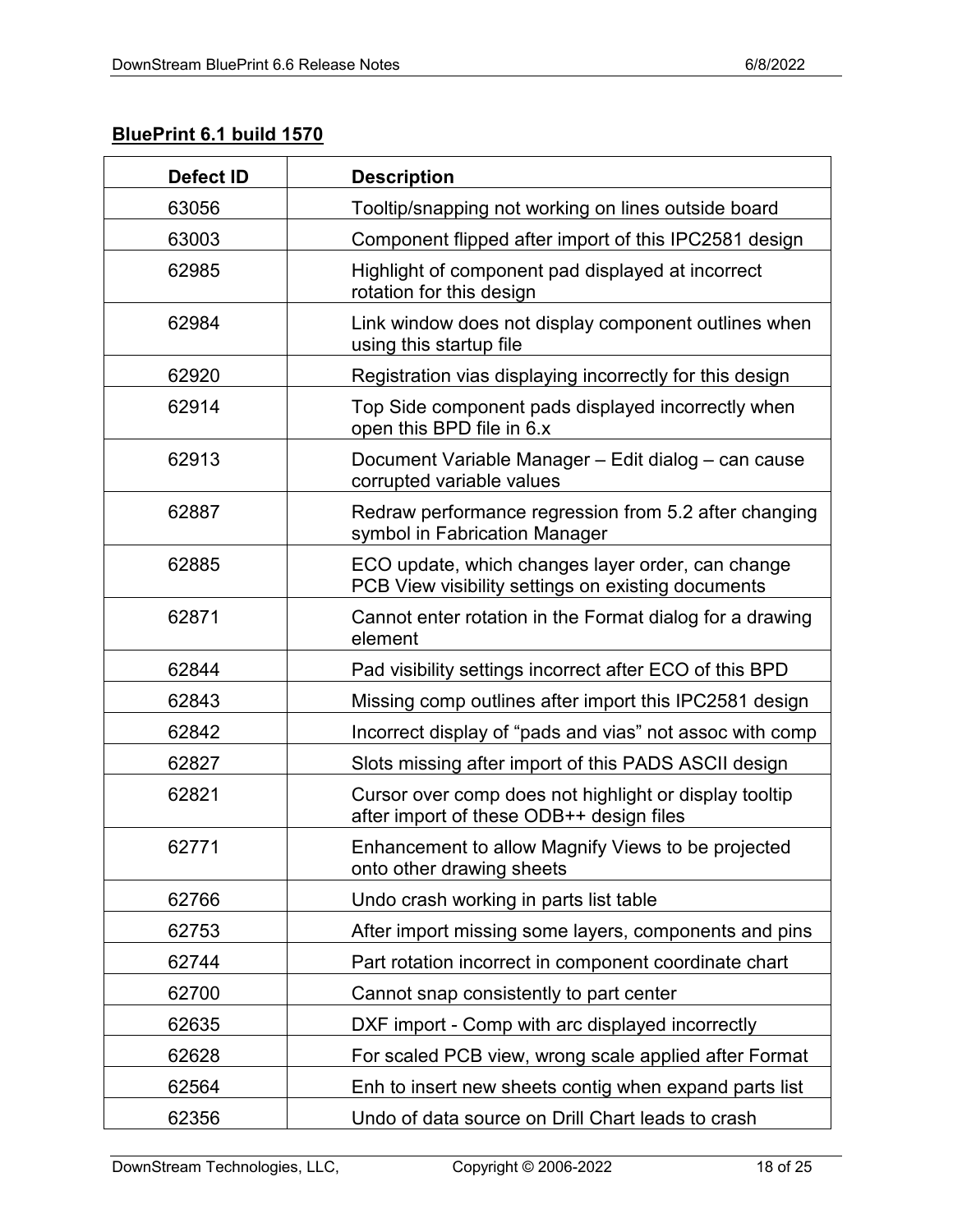| <b>Defect ID</b> | <b>Description</b>                                                                                      |
|------------------|---------------------------------------------------------------------------------------------------------|
| 63056            | Tooltip/snapping not working on lines outside board                                                     |
| 63003            | Component flipped after import of this IPC2581 design                                                   |
| 62985            | Highlight of component pad displayed at incorrect<br>rotation for this design                           |
| 62984            | Link window does not display component outlines when<br>using this startup file                         |
| 62920            | Registration vias displaying incorrectly for this design                                                |
| 62914            | Top Side component pads displayed incorrectly when<br>open this BPD file in 6.x                         |
| 62913            | Document Variable Manager - Edit dialog - can cause<br>corrupted variable values                        |
| 62887            | Redraw performance regression from 5.2 after changing<br>symbol in Fabrication Manager                  |
| 62885            | ECO update, which changes layer order, can change<br>PCB View visibility settings on existing documents |
| 62871            | Cannot enter rotation in the Format dialog for a drawing<br>element                                     |
| 62844            | Pad visibility settings incorrect after ECO of this BPD                                                 |
| 62843            | Missing comp outlines after import this IPC2581 design                                                  |
| 62842            | Incorrect display of "pads and vias" not assoc with comp                                                |
| 62827            | Slots missing after import of this PADS ASCII design                                                    |
| 62821            | Cursor over comp does not highlight or display tooltip<br>after import of these ODB++ design files      |
| 62771            | Enhancement to allow Magnify Views to be projected<br>onto other drawing sheets                         |
| 62766            | Undo crash working in parts list table                                                                  |
| 62753            | After import missing some layers, components and pins                                                   |
| 62744            | Part rotation incorrect in component coordinate chart                                                   |
| 62700            | Cannot snap consistently to part center                                                                 |
| 62635            | DXF import - Comp with arc displayed incorrectly                                                        |
| 62628            | For scaled PCB view, wrong scale applied after Format                                                   |
| 62564            | Enh to insert new sheets contig when expand parts list                                                  |
| 62356            | Undo of data source on Drill Chart leads to crash                                                       |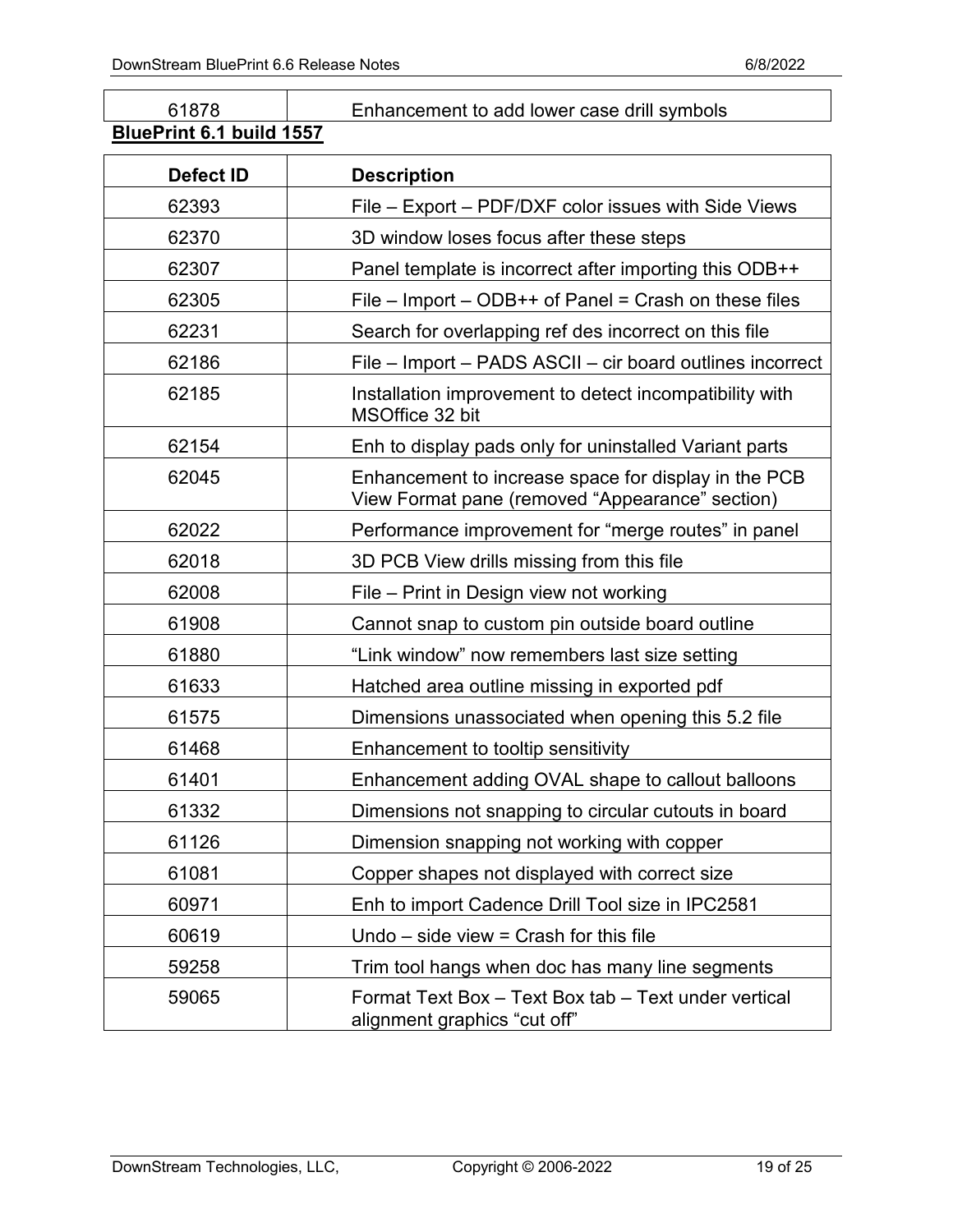| 61878                    | Enhancement to add lower case drill symbols                                                             |  |
|--------------------------|---------------------------------------------------------------------------------------------------------|--|
| BluePrint 6.1 build 1557 |                                                                                                         |  |
| <b>Defect ID</b>         | <b>Description</b>                                                                                      |  |
| 62393                    | File – Export – PDF/DXF color issues with Side Views                                                    |  |
| 62370                    | 3D window loses focus after these steps                                                                 |  |
| 62307                    | Panel template is incorrect after importing this ODB++                                                  |  |
| 62305                    | File – Import – ODB++ of Panel = Crash on these files                                                   |  |
| 62231                    | Search for overlapping ref des incorrect on this file                                                   |  |
| 62186                    | File – Import – PADS ASCII – cir board outlines incorrect                                               |  |
| 62185                    | Installation improvement to detect incompatibility with<br>MSOffice 32 bit                              |  |
| 62154                    | Enh to display pads only for uninstalled Variant parts                                                  |  |
| 62045                    | Enhancement to increase space for display in the PCB<br>View Format pane (removed "Appearance" section) |  |
| 62022                    | Performance improvement for "merge routes" in panel                                                     |  |
| 62018                    | 3D PCB View drills missing from this file                                                               |  |
| 62008                    | File – Print in Design view not working                                                                 |  |
| 61908                    | Cannot snap to custom pin outside board outline                                                         |  |
| 61880                    | "Link window" now remembers last size setting                                                           |  |
| 61633                    | Hatched area outline missing in exported pdf                                                            |  |
| 61575                    | Dimensions unassociated when opening this 5.2 file                                                      |  |
| 61468                    | Enhancement to tooltip sensitivity                                                                      |  |
| 61401                    | Enhancement adding OVAL shape to callout balloons                                                       |  |
| 61332                    | Dimensions not snapping to circular cutouts in board                                                    |  |
| 61126                    | Dimension snapping not working with copper                                                              |  |
| 61081                    | Copper shapes not displayed with correct size                                                           |  |
| 60971                    | Enh to import Cadence Drill Tool size in IPC2581                                                        |  |
| 60619                    | Undo $-$ side view $=$ Crash for this file                                                              |  |
| 59258                    | Trim tool hangs when doc has many line segments                                                         |  |
| 59065                    | Format Text Box - Text Box tab - Text under vertical<br>alignment graphics "cut off"                    |  |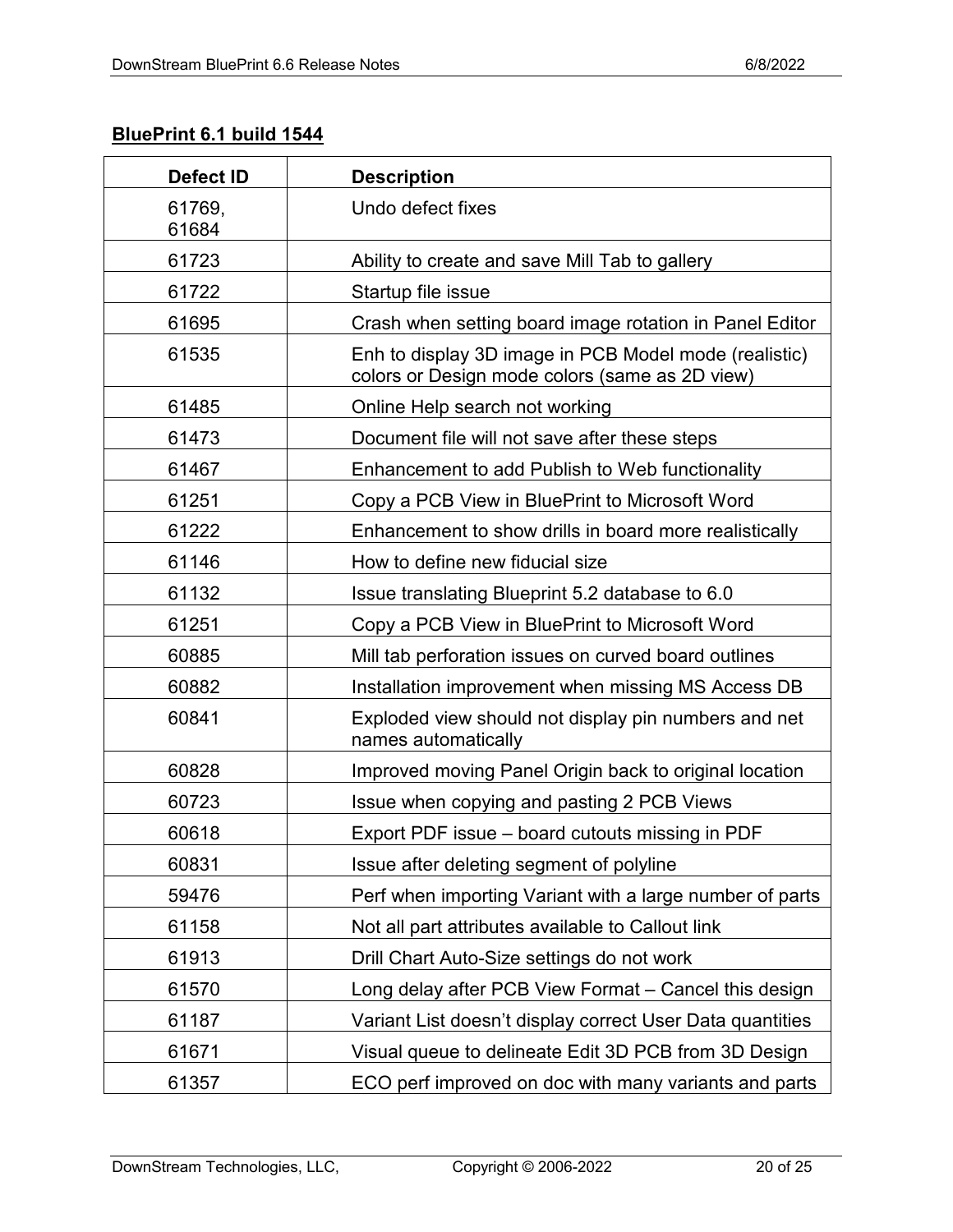| <b>Defect ID</b> | <b>Description</b>                                                                                      |
|------------------|---------------------------------------------------------------------------------------------------------|
| 61769,<br>61684  | Undo defect fixes                                                                                       |
| 61723            | Ability to create and save Mill Tab to gallery                                                          |
| 61722            | Startup file issue                                                                                      |
| 61695            | Crash when setting board image rotation in Panel Editor                                                 |
| 61535            | Enh to display 3D image in PCB Model mode (realistic)<br>colors or Design mode colors (same as 2D view) |
| 61485            | Online Help search not working                                                                          |
| 61473            | Document file will not save after these steps                                                           |
| 61467            | Enhancement to add Publish to Web functionality                                                         |
| 61251            | Copy a PCB View in BluePrint to Microsoft Word                                                          |
| 61222            | Enhancement to show drills in board more realistically                                                  |
| 61146            | How to define new fiducial size                                                                         |
| 61132            | Issue translating Blueprint 5.2 database to 6.0                                                         |
| 61251            | Copy a PCB View in BluePrint to Microsoft Word                                                          |
| 60885            | Mill tab perforation issues on curved board outlines                                                    |
| 60882            | Installation improvement when missing MS Access DB                                                      |
| 60841            | Exploded view should not display pin numbers and net<br>names automatically                             |
| 60828            | Improved moving Panel Origin back to original location                                                  |
| 60723            | Issue when copying and pasting 2 PCB Views                                                              |
| 60618            | Export PDF issue - board cutouts missing in PDF                                                         |
| 60831            | Issue after deleting segment of polyline                                                                |
| 59476            | Perf when importing Variant with a large number of parts                                                |
| 61158            | Not all part attributes available to Callout link                                                       |
| 61913            | Drill Chart Auto-Size settings do not work                                                              |
| 61570            | Long delay after PCB View Format – Cancel this design                                                   |
| 61187            | Variant List doesn't display correct User Data quantities                                               |
| 61671            | Visual queue to delineate Edit 3D PCB from 3D Design                                                    |
| 61357            | ECO perf improved on doc with many variants and parts                                                   |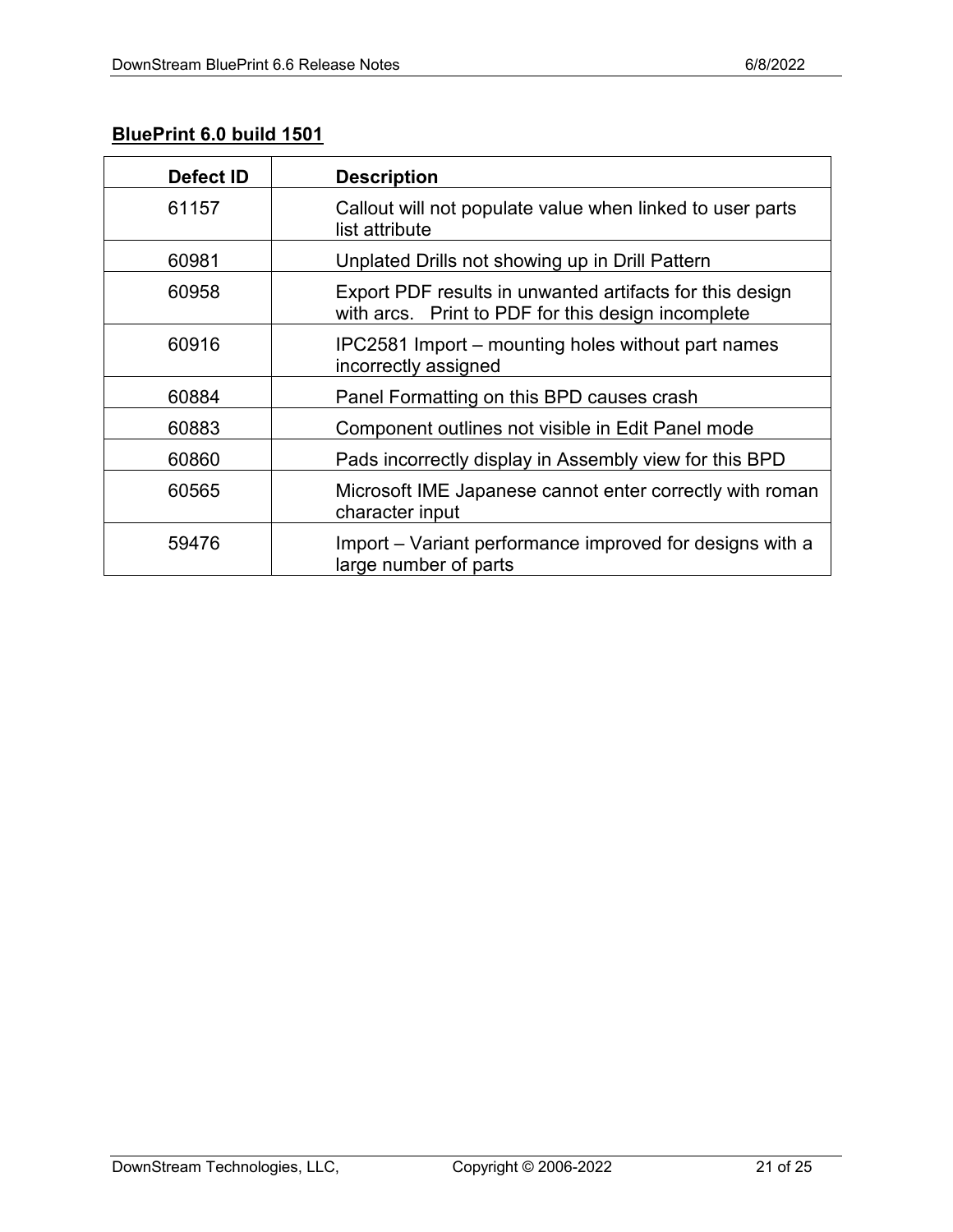| Defect ID | <b>Description</b>                                                                                             |
|-----------|----------------------------------------------------------------------------------------------------------------|
| 61157     | Callout will not populate value when linked to user parts<br>list attribute                                    |
| 60981     | Unplated Drills not showing up in Drill Pattern                                                                |
| 60958     | Export PDF results in unwanted artifacts for this design<br>with arcs. Print to PDF for this design incomplete |
| 60916     | IPC2581 Import – mounting holes without part names<br>incorrectly assigned                                     |
| 60884     | Panel Formatting on this BPD causes crash                                                                      |
| 60883     | Component outlines not visible in Edit Panel mode                                                              |
| 60860     | Pads incorrectly display in Assembly view for this BPD                                                         |
| 60565     | Microsoft IME Japanese cannot enter correctly with roman<br>character input                                    |
| 59476     | Import – Variant performance improved for designs with a<br>large number of parts                              |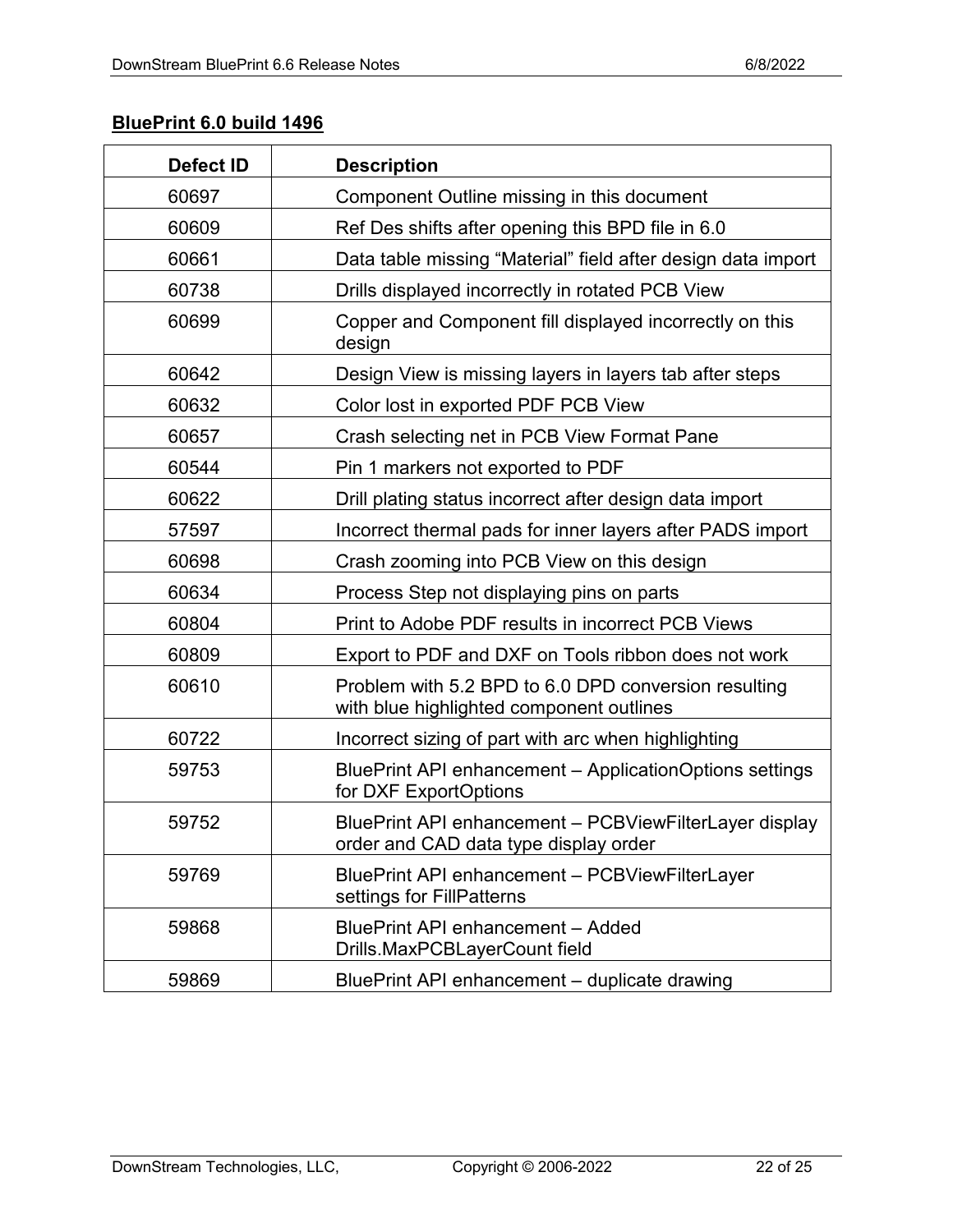| <b>Defect ID</b> | <b>Description</b>                                                                               |
|------------------|--------------------------------------------------------------------------------------------------|
| 60697            | Component Outline missing in this document                                                       |
| 60609            | Ref Des shifts after opening this BPD file in 6.0                                                |
| 60661            | Data table missing "Material" field after design data import                                     |
| 60738            | Drills displayed incorrectly in rotated PCB View                                                 |
| 60699            | Copper and Component fill displayed incorrectly on this<br>design                                |
| 60642            | Design View is missing layers in layers tab after steps                                          |
| 60632            | Color lost in exported PDF PCB View                                                              |
| 60657            | Crash selecting net in PCB View Format Pane                                                      |
| 60544            | Pin 1 markers not exported to PDF                                                                |
| 60622            | Drill plating status incorrect after design data import                                          |
| 57597            | Incorrect thermal pads for inner layers after PADS import                                        |
| 60698            | Crash zooming into PCB View on this design                                                       |
| 60634            | Process Step not displaying pins on parts                                                        |
| 60804            | Print to Adobe PDF results in incorrect PCB Views                                                |
| 60809            | Export to PDF and DXF on Tools ribbon does not work                                              |
| 60610            | Problem with 5.2 BPD to 6.0 DPD conversion resulting<br>with blue highlighted component outlines |
| 60722            | Incorrect sizing of part with arc when highlighting                                              |
| 59753            | BluePrint API enhancement - ApplicationOptions settings<br>for DXF ExportOptions                 |
| 59752            | BluePrint API enhancement - PCBViewFilterLayer display<br>order and CAD data type display order  |
| 59769            | BluePrint API enhancement - PCBViewFilterLayer<br>settings for FillPatterns                      |
| 59868            | <b>BluePrint API enhancement - Added</b><br>Drills.MaxPCBLayerCount field                        |
| 59869            | BluePrint API enhancement - duplicate drawing                                                    |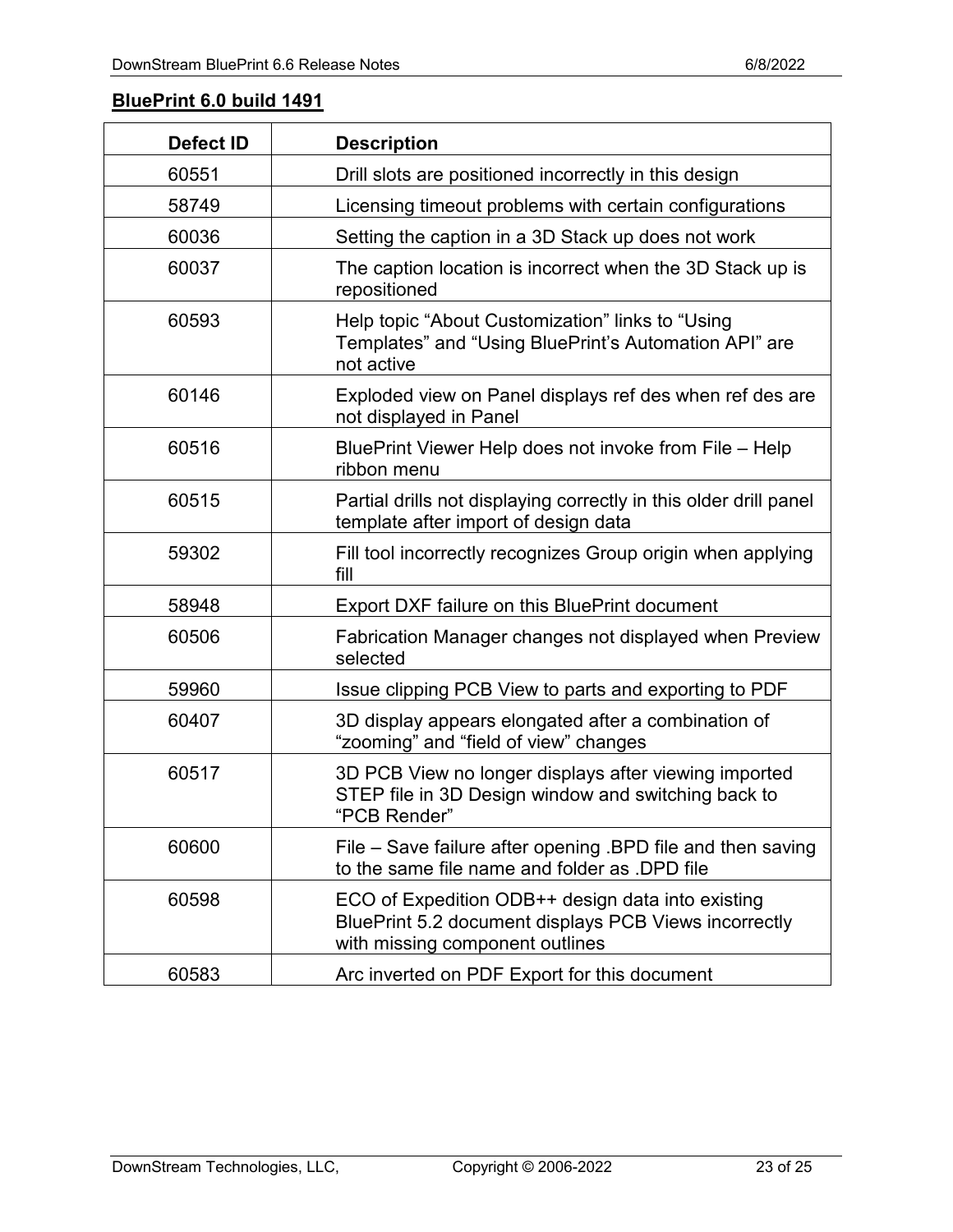| <b>Defect ID</b> | <b>Description</b>                                                                                                                            |
|------------------|-----------------------------------------------------------------------------------------------------------------------------------------------|
| 60551            | Drill slots are positioned incorrectly in this design                                                                                         |
| 58749            | Licensing timeout problems with certain configurations                                                                                        |
| 60036            | Setting the caption in a 3D Stack up does not work                                                                                            |
| 60037            | The caption location is incorrect when the 3D Stack up is<br>repositioned                                                                     |
| 60593            | Help topic "About Customization" links to "Using<br>Templates" and "Using BluePrint's Automation API" are<br>not active                       |
| 60146            | Exploded view on Panel displays ref des when ref des are<br>not displayed in Panel                                                            |
| 60516            | BluePrint Viewer Help does not invoke from File - Help<br>ribbon menu                                                                         |
| 60515            | Partial drills not displaying correctly in this older drill panel<br>template after import of design data                                     |
| 59302            | Fill tool incorrectly recognizes Group origin when applying<br>fill                                                                           |
| 58948            | Export DXF failure on this BluePrint document                                                                                                 |
| 60506            | Fabrication Manager changes not displayed when Preview<br>selected                                                                            |
| 59960            | Issue clipping PCB View to parts and exporting to PDF                                                                                         |
| 60407            | 3D display appears elongated after a combination of<br>"zooming" and "field of view" changes                                                  |
| 60517            | 3D PCB View no longer displays after viewing imported<br>STEP file in 3D Design window and switching back to<br>"PCB Render"                  |
| 60600            | File - Save failure after opening .BPD file and then saving<br>to the same file name and folder as .DPD file                                  |
| 60598            | ECO of Expedition ODB++ design data into existing<br>BluePrint 5.2 document displays PCB Views incorrectly<br>with missing component outlines |
| 60583            | Arc inverted on PDF Export for this document                                                                                                  |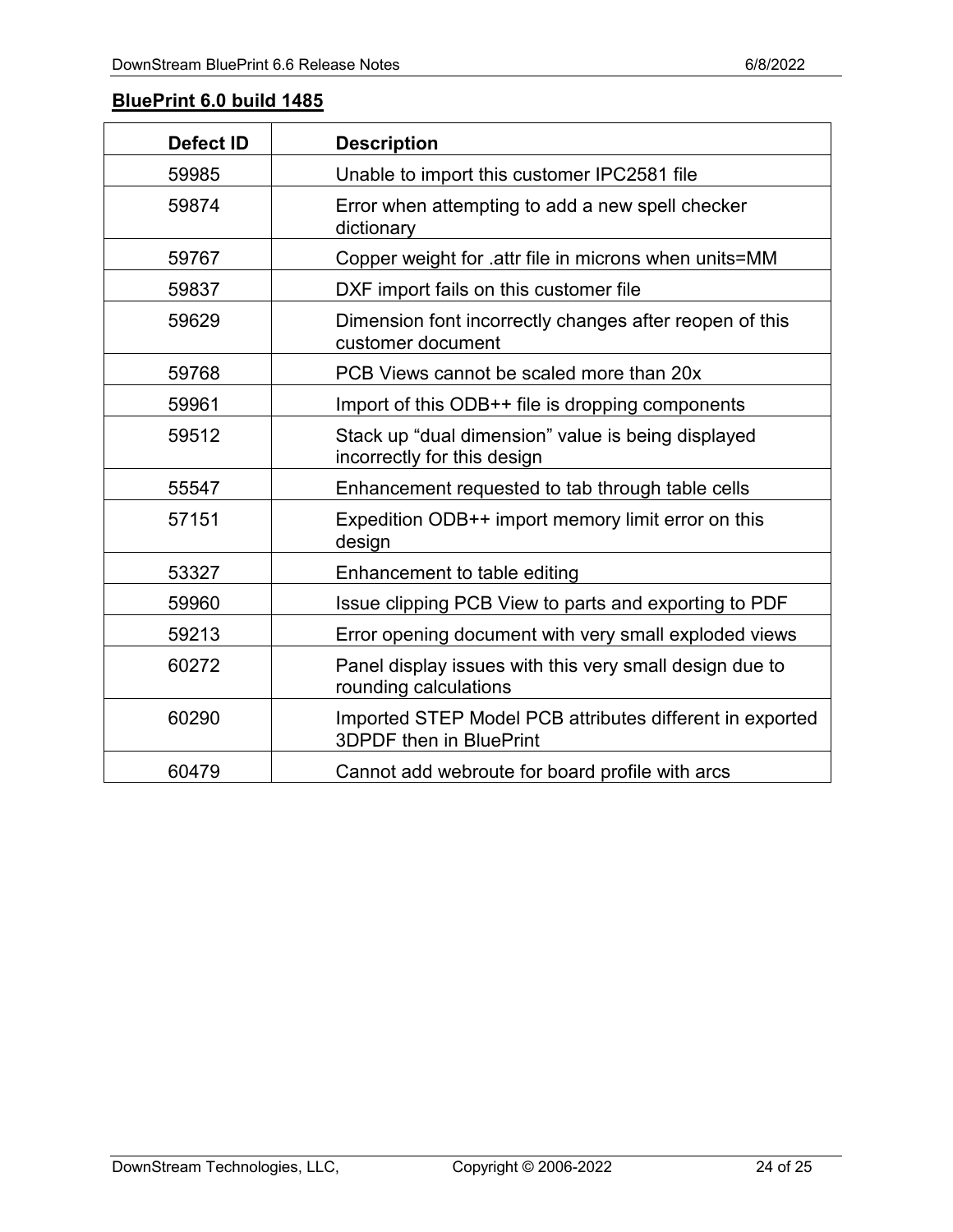| <b>Defect ID</b> | <b>Description</b>                                                                         |
|------------------|--------------------------------------------------------------------------------------------|
| 59985            | Unable to import this customer IPC2581 file                                                |
| 59874            | Error when attempting to add a new spell checker<br>dictionary                             |
| 59767            | Copper weight for .attr file in microns when units=MM                                      |
| 59837            | DXF import fails on this customer file                                                     |
| 59629            | Dimension font incorrectly changes after reopen of this<br>customer document               |
| 59768            | PCB Views cannot be scaled more than 20x                                                   |
| 59961            | Import of this ODB++ file is dropping components                                           |
| 59512            | Stack up "dual dimension" value is being displayed<br>incorrectly for this design          |
| 55547            | Enhancement requested to tab through table cells                                           |
| 57151            | Expedition ODB++ import memory limit error on this<br>design                               |
| 53327            | Enhancement to table editing                                                               |
| 59960            | Issue clipping PCB View to parts and exporting to PDF                                      |
| 59213            | Error opening document with very small exploded views                                      |
| 60272            | Panel display issues with this very small design due to<br>rounding calculations           |
| 60290            | Imported STEP Model PCB attributes different in exported<br><b>3DPDF then in BluePrint</b> |
| 60479            | Cannot add webroute for board profile with arcs                                            |